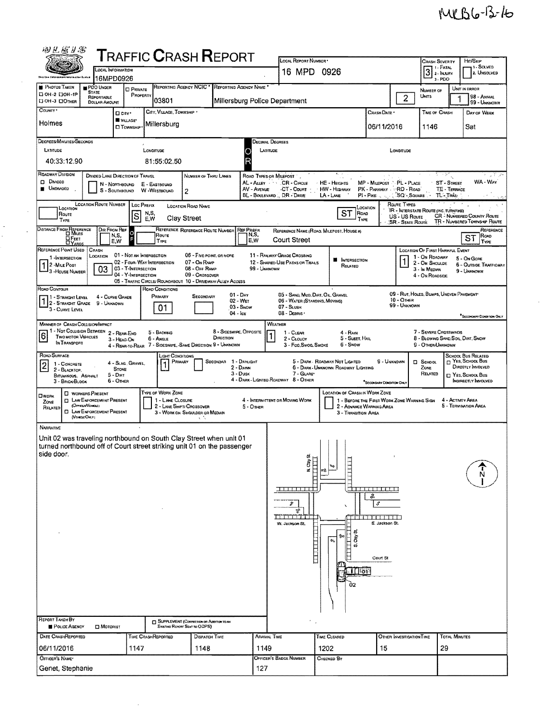$\hat{\mathcal{L}}$ 

| 1 - Fatal<br><b>LOCAL INFORMATION</b><br>$3$ $\frac{1.444}{2.15}$<br>16 MPD 0926<br>16MPD0926<br>$3 - PDO$<br>REPORTING AGENCY NCIC <sup>*</sup><br>REPORTING AGENCY NAME<br>PDO UNDER<br><b>D</b> PRIVATE<br>UNIT IN ERROR<br>NUMBER OF<br><b>STATE</b><br>PROPERTY<br>UNITS<br>$\overline{c}$<br>REPORTABLE<br>03801<br>Millersburg Police Department<br><b>DOLLAR AMOUNT</b><br>CITY, VILLAGE, TOWNSHIP<br>CRASH DATE<br>TIME OF CRASH<br>D cay.<br>W VILLAGE*<br>Millersburg<br>06/11/2016<br>Sat<br><b>CI TOWNSHIP</b><br>1146<br>DEGREES/MINUTES/SECONDS<br>Decimal Degrees<br>LATITUDE<br>LONGITUDE<br>LATITUDE<br>Longmune<br>R<br>40:33:12.90<br>81:55:02.50<br>ROADWAY DIVISION<br>$\overline{\mathbb{C}^2 \times \mathbb{R}^2}$ ,<br>DIVIDED LANE DIRECTION OF TRAVEL<br>ROAD TYPES OR MILEPOST<br>NUMBER OF THRU LANES<br>AL-ALLEY<br>CR - CIRCLE<br>MP - MILEPOST PL - PLACE<br>HE - HEIGHTS<br>ST - STREET<br>N - NORTHBOUND<br>E - EASTBOUND<br>UNDMOED<br>AV - AVENUE<br>CT - Court<br>HW - Highway<br>PK - PARKWAY : :: RD - ROAD<br>TE - TERRACE<br>S - SOUTHBOUND W -WESTBOUND<br>2<br>BL - BOULEVARD  DR - DRIVE<br>Pi - Pixe<br>$\sqrt{3}Q - 5$ QUARE<br>TL-TRAIL<br>LA - LANE<br>LOCATION ROUTE NUMBER   LOC PREFIX<br>ROUTE TYPES<br>LOCATION ROAD NAME<br>LOCATION<br>LOCATION<br>IR - INTERSTATE ROUTE (INC. TURNPIKE)<br><b>ST</b><br>N.S.<br>E.W<br>ROAD<br>Route<br> s<br><b>CR - NUMBERED COUNTY ROUTE</b><br>US - US Route<br>Clay Street<br>TYPE<br><b>TYPE</b><br>TR - NUMBERED TOWNSHIP ROUTE<br><b>SR - State Route</b><br>DISTANCE FROM REFERENCE<br>REFERENCE REFERENCE ROUTE NUMBER<br>DIR FROM REF<br><b>REF PREFIX</b><br>REFERENCE NAME (ROAD, MILEPOST, HOUSE #)<br>$\Omega$<br>N,S,<br>N,S,<br>ROUTE<br>ST<br><b>DE</b> EET<br><b>Court Street</b><br>E,W<br>E,W<br>TYPE<br>CRASH<br>LOCATION OF FIRST HARMFUL EVENT<br>01 - NOT AN INTERSECTION<br>06 - FIVE-POINT, OR MORE<br>11 - RAILWAY GRADE CROSSING<br>LOCATION<br>1 - On ROADWAY<br>1 -INTERSECTION<br>5 - On Gone<br><b>B</b> INTERSECTION<br>02 - FOUR WAY INTERSECTION<br>07 - On RAMP<br>12 - SHARED-USE PATHS OR TRAILS<br>2 - On Shoulde<br>2 - MILE POST<br>6 - OUTSIDE TRAFFICWAY<br>RELATED<br>03 - T-Intersection<br>03<br>08 - OFF RAMP<br>99 - UNKNOWN<br>3 - In Median<br>9 - UNKNOWN<br>3 - House Number<br>04 - Y-INTERSECTION<br>09 - Crossover<br>4 - On ROADSIDE<br>05 - TRAFFIC CIRCLE/ROUNDABOUT 10 - DRMEWAY/ ALLEY ACCESS<br>ROAD CONDITIONS<br>09 - RUT, HOLES, BUMPS, UNEVEN PAVEMENT*<br>05 - SANO, MUD, DIRY, OIL, GRAVEL<br>$01 - Draw$<br>Primary<br>SECONDARY<br>1 - Straight Level<br>4 - CURVE GRADE<br>$10 -$ OTHER<br>06 - WATER (STANDING, MOVING)<br>02 - WET<br>2 - STRAIGHT GRADE<br>9 - Unknown<br>99 - UNKNOWN<br>07 - SLUSH<br>01<br>$03 -$ SNOW<br>3 - CURVE LEVEL<br>$04 - \log$<br>08 - Deanis<br><b>MANNER OF CRASH COLLISION/INPACT</b><br>WEATHER<br>1 - Not Collision Between 2 - Rear-End<br>8 - Sideswipe, OPPOSITE<br>7 - SEVERE CROSSWINDS<br>5 - BACKING<br>1 - CLEAR<br>4 - RAIN<br>$\overline{6}$<br><b>TWO MOTOR VEHICLES</b><br>DIRECTION<br>5 - Sleet, Hail<br>8 - BLOWING SAND, SOIL, DIRT, SNOW<br>6 - Angle<br>2 - CLOUDY<br>3 - HEAO-ON<br>IN TRANSPORT<br>4 - REAR-TO-REAR 7 - SIDESWIPE, SAME DIRECTION 9 - UNKNOWN<br>6 - Snow<br>3 - Fog, Swoo, Smoke<br>9 - OTHER/UNKNOWN<br><b>SCHOOL BUS RELATED</b><br>Light Conditions<br>YES, SCHOOL BUS<br>SECONDAR 1 - DAYLIGHT<br>5 - DARK - ROADWAY NOT LIGHTED<br>9 - UNKNOWN<br>PRIMARY<br><b>D</b> SCHOOL<br>4 - Slag Gravel<br>1 - CONCRETE<br><b>DIRECTLY INVOLVED</b><br>2 - Dawn<br>6 - DARK - UNKNOWN ROADWAY LIGHTING<br>ZONE<br><b>STONE</b><br>2 - BLACKTOP.<br>$3 - D$ USK<br>7 - GLARE*<br>RELATED<br>$\Box$ Yes, School Bus<br>$5 - Dur$<br>BITUMINOUS. ASPHALT<br>4 - DARK - LIGHTED ROADWAY 8 - OTHER<br>6 - Other<br>INDIRECTLY INVOLVED<br>3 - BRICK/BLOCK<br>"SECONDARY CONDITION ONLY<br>TYPE OF WORK ZONE<br>LOCATION OF CRASH IN WORK ZONE<br><b>D</b> WORKERS PRESENT<br><b>D</b> LAW ENFORCEMENT PRESENT<br>1 - LANE CLOSURE<br>4 - INTERMITTENT OR MOVING WORK<br>1 - BEFORE THE FIRST WORK ZONE WARNING SIGN<br>4 - ACTIVITY AREA<br>ZONE<br>(OFFICERNEHICLE)<br>5 - TERMINATION AREA<br>2 - LANE SHIFT/ CROSSOVER<br>$5 -$ Oner<br>2 - ADVANCE WARNING AREA<br>RELATED<br><b>C LAW ENFORCEMENT PRESENT</b><br>3 - WORK ON SHOULDER OR MEDIAN<br>3 - Transition Area<br>(VEHOLE ONLY)<br>A.N<br>Unit 02 was traveling northbound on South Clay Street when unit 01<br>turned northbound off of Court street striking unit 01 on the passenger<br>à<br>ź<br>øЛ<br><u>n man na marang sa</u><br><u>.</u><br>ß,<br>r<br>€<br>Z,<br>TITTITTI<br>.<br>E. Jackson St.<br>W. Jackson St.<br>ぢ<br>15<br>¢<br>Court St<br>$\Box$ to 1<br>Ó2<br><b>CI SUPPLEMENT (CORRECTION OR ADDITION TO AN</b><br>POLICE AGENCY<br>Existing Report Sent to ODPS)<br><b>D</b> MOTORIST<br><b>TOTAL MINUTES</b><br>TINE CRASHREPORTED<br><b>ARRIVAL TIME</b><br><b>TIME CLEARED</b><br>DISPATCH TIME<br>OTHER INVESTIGATION TIME<br>29<br>1147<br>1149<br>1202<br>15<br>1148<br><b>OFFICER'S BADGE NUMBER</b><br>Снескер Ву<br>Genet, Stephanie<br>127 |                                |  |  | <b>TRAFFIC CRASH REPORT</b> |  | LOCAL REPORT NUMBER |  |  | CRASH SEVERITY |  | Hrt/S <sub>KIP</sub>                  |  |  |
|------------------------------------------------------------------------------------------------------------------------------------------------------------------------------------------------------------------------------------------------------------------------------------------------------------------------------------------------------------------------------------------------------------------------------------------------------------------------------------------------------------------------------------------------------------------------------------------------------------------------------------------------------------------------------------------------------------------------------------------------------------------------------------------------------------------------------------------------------------------------------------------------------------------------------------------------------------------------------------------------------------------------------------------------------------------------------------------------------------------------------------------------------------------------------------------------------------------------------------------------------------------------------------------------------------------------------------------------------------------------------------------------------------------------------------------------------------------------------------------------------------------------------------------------------------------------------------------------------------------------------------------------------------------------------------------------------------------------------------------------------------------------------------------------------------------------------------------------------------------------------------------------------------------------------------------------------------------------------------------------------------------------------------------------------------------------------------------------------------------------------------------------------------------------------------------------------------------------------------------------------------------------------------------------------------------------------------------------------------------------------------------------------------------------------------------------------------------------------------------------------------------------------------------------------------------------------------------------------------------------------------------------------------------------------------------------------------------------------------------------------------------------------------------------------------------------------------------------------------------------------------------------------------------------------------------------------------------------------------------------------------------------------------------------------------------------------------------------------------------------------------------------------------------------------------------------------------------------------------------------------------------------------------------------------------------------------------------------------------------------------------------------------------------------------------------------------------------------------------------------------------------------------------------------------------------------------------------------------------------------------------------------------------------------------------------------------------------------------------------------------------------------------------------------------------------------------------------------------------------------------------------------------------------------------------------------------------------------------------------------------------------------------------------------------------------------------------------------------------------------------------------------------------------------------------------------------------------------------------------------------------------------------------------------------------------------------------------------------------------------------------------------------------------------------------------------------------------------------------------------------------------------------------------------------------------------------------------------------------------------------------------------------------------------------------------------------------------------------------------------------------------------------------------------------------------------------------------------------------------------------------------------------------------------------------------------------------------------------------------------------------------------------------------------------------------------------------------------------------------------------------------------------------------------|--------------------------------|--|--|-----------------------------|--|---------------------|--|--|----------------|--|---------------------------------------|--|--|
|                                                                                                                                                                                                                                                                                                                                                                                                                                                                                                                                                                                                                                                                                                                                                                                                                                                                                                                                                                                                                                                                                                                                                                                                                                                                                                                                                                                                                                                                                                                                                                                                                                                                                                                                                                                                                                                                                                                                                                                                                                                                                                                                                                                                                                                                                                                                                                                                                                                                                                                                                                                                                                                                                                                                                                                                                                                                                                                                                                                                                                                                                                                                                                                                                                                                                                                                                                                                                                                                                                                                                                                                                                                                                                                                                                                                                                                                                                                                                                                                                                                                                                                                                                                                                                                                                                                                                                                                                                                                                                                                                                                                                                                                                                                                                                                                                                                                                                                                                                                                                                                                                                                                                                        |                                |  |  |                             |  |                     |  |  |                |  | 1. SOLVED<br>2. UNSOLVED              |  |  |
|                                                                                                                                                                                                                                                                                                                                                                                                                                                                                                                                                                                                                                                                                                                                                                                                                                                                                                                                                                                                                                                                                                                                                                                                                                                                                                                                                                                                                                                                                                                                                                                                                                                                                                                                                                                                                                                                                                                                                                                                                                                                                                                                                                                                                                                                                                                                                                                                                                                                                                                                                                                                                                                                                                                                                                                                                                                                                                                                                                                                                                                                                                                                                                                                                                                                                                                                                                                                                                                                                                                                                                                                                                                                                                                                                                                                                                                                                                                                                                                                                                                                                                                                                                                                                                                                                                                                                                                                                                                                                                                                                                                                                                                                                                                                                                                                                                                                                                                                                                                                                                                                                                                                                                        | <b>PHOTOS TAKEN</b>            |  |  |                             |  |                     |  |  |                |  |                                       |  |  |
|                                                                                                                                                                                                                                                                                                                                                                                                                                                                                                                                                                                                                                                                                                                                                                                                                                                                                                                                                                                                                                                                                                                                                                                                                                                                                                                                                                                                                                                                                                                                                                                                                                                                                                                                                                                                                                                                                                                                                                                                                                                                                                                                                                                                                                                                                                                                                                                                                                                                                                                                                                                                                                                                                                                                                                                                                                                                                                                                                                                                                                                                                                                                                                                                                                                                                                                                                                                                                                                                                                                                                                                                                                                                                                                                                                                                                                                                                                                                                                                                                                                                                                                                                                                                                                                                                                                                                                                                                                                                                                                                                                                                                                                                                                                                                                                                                                                                                                                                                                                                                                                                                                                                                                        | □ 0H-2 □ 0H-1P<br>DOH-3 DOTHER |  |  |                             |  |                     |  |  |                |  | 98 - ANIMAL<br>99 - UNKNOWN           |  |  |
|                                                                                                                                                                                                                                                                                                                                                                                                                                                                                                                                                                                                                                                                                                                                                                                                                                                                                                                                                                                                                                                                                                                                                                                                                                                                                                                                                                                                                                                                                                                                                                                                                                                                                                                                                                                                                                                                                                                                                                                                                                                                                                                                                                                                                                                                                                                                                                                                                                                                                                                                                                                                                                                                                                                                                                                                                                                                                                                                                                                                                                                                                                                                                                                                                                                                                                                                                                                                                                                                                                                                                                                                                                                                                                                                                                                                                                                                                                                                                                                                                                                                                                                                                                                                                                                                                                                                                                                                                                                                                                                                                                                                                                                                                                                                                                                                                                                                                                                                                                                                                                                                                                                                                                        | COUNTY *                       |  |  |                             |  |                     |  |  |                |  | DAY OF WEEK                           |  |  |
|                                                                                                                                                                                                                                                                                                                                                                                                                                                                                                                                                                                                                                                                                                                                                                                                                                                                                                                                                                                                                                                                                                                                                                                                                                                                                                                                                                                                                                                                                                                                                                                                                                                                                                                                                                                                                                                                                                                                                                                                                                                                                                                                                                                                                                                                                                                                                                                                                                                                                                                                                                                                                                                                                                                                                                                                                                                                                                                                                                                                                                                                                                                                                                                                                                                                                                                                                                                                                                                                                                                                                                                                                                                                                                                                                                                                                                                                                                                                                                                                                                                                                                                                                                                                                                                                                                                                                                                                                                                                                                                                                                                                                                                                                                                                                                                                                                                                                                                                                                                                                                                                                                                                                                        | Holmes                         |  |  |                             |  |                     |  |  |                |  |                                       |  |  |
|                                                                                                                                                                                                                                                                                                                                                                                                                                                                                                                                                                                                                                                                                                                                                                                                                                                                                                                                                                                                                                                                                                                                                                                                                                                                                                                                                                                                                                                                                                                                                                                                                                                                                                                                                                                                                                                                                                                                                                                                                                                                                                                                                                                                                                                                                                                                                                                                                                                                                                                                                                                                                                                                                                                                                                                                                                                                                                                                                                                                                                                                                                                                                                                                                                                                                                                                                                                                                                                                                                                                                                                                                                                                                                                                                                                                                                                                                                                                                                                                                                                                                                                                                                                                                                                                                                                                                                                                                                                                                                                                                                                                                                                                                                                                                                                                                                                                                                                                                                                                                                                                                                                                                                        |                                |  |  |                             |  |                     |  |  |                |  |                                       |  |  |
|                                                                                                                                                                                                                                                                                                                                                                                                                                                                                                                                                                                                                                                                                                                                                                                                                                                                                                                                                                                                                                                                                                                                                                                                                                                                                                                                                                                                                                                                                                                                                                                                                                                                                                                                                                                                                                                                                                                                                                                                                                                                                                                                                                                                                                                                                                                                                                                                                                                                                                                                                                                                                                                                                                                                                                                                                                                                                                                                                                                                                                                                                                                                                                                                                                                                                                                                                                                                                                                                                                                                                                                                                                                                                                                                                                                                                                                                                                                                                                                                                                                                                                                                                                                                                                                                                                                                                                                                                                                                                                                                                                                                                                                                                                                                                                                                                                                                                                                                                                                                                                                                                                                                                                        |                                |  |  |                             |  |                     |  |  |                |  |                                       |  |  |
|                                                                                                                                                                                                                                                                                                                                                                                                                                                                                                                                                                                                                                                                                                                                                                                                                                                                                                                                                                                                                                                                                                                                                                                                                                                                                                                                                                                                                                                                                                                                                                                                                                                                                                                                                                                                                                                                                                                                                                                                                                                                                                                                                                                                                                                                                                                                                                                                                                                                                                                                                                                                                                                                                                                                                                                                                                                                                                                                                                                                                                                                                                                                                                                                                                                                                                                                                                                                                                                                                                                                                                                                                                                                                                                                                                                                                                                                                                                                                                                                                                                                                                                                                                                                                                                                                                                                                                                                                                                                                                                                                                                                                                                                                                                                                                                                                                                                                                                                                                                                                                                                                                                                                                        |                                |  |  |                             |  |                     |  |  |                |  |                                       |  |  |
|                                                                                                                                                                                                                                                                                                                                                                                                                                                                                                                                                                                                                                                                                                                                                                                                                                                                                                                                                                                                                                                                                                                                                                                                                                                                                                                                                                                                                                                                                                                                                                                                                                                                                                                                                                                                                                                                                                                                                                                                                                                                                                                                                                                                                                                                                                                                                                                                                                                                                                                                                                                                                                                                                                                                                                                                                                                                                                                                                                                                                                                                                                                                                                                                                                                                                                                                                                                                                                                                                                                                                                                                                                                                                                                                                                                                                                                                                                                                                                                                                                                                                                                                                                                                                                                                                                                                                                                                                                                                                                                                                                                                                                                                                                                                                                                                                                                                                                                                                                                                                                                                                                                                                                        | <b>D</b> Divideo               |  |  |                             |  |                     |  |  |                |  | イッドメ<br>WA-Way                        |  |  |
|                                                                                                                                                                                                                                                                                                                                                                                                                                                                                                                                                                                                                                                                                                                                                                                                                                                                                                                                                                                                                                                                                                                                                                                                                                                                                                                                                                                                                                                                                                                                                                                                                                                                                                                                                                                                                                                                                                                                                                                                                                                                                                                                                                                                                                                                                                                                                                                                                                                                                                                                                                                                                                                                                                                                                                                                                                                                                                                                                                                                                                                                                                                                                                                                                                                                                                                                                                                                                                                                                                                                                                                                                                                                                                                                                                                                                                                                                                                                                                                                                                                                                                                                                                                                                                                                                                                                                                                                                                                                                                                                                                                                                                                                                                                                                                                                                                                                                                                                                                                                                                                                                                                                                                        | ₩                              |  |  |                             |  |                     |  |  |                |  |                                       |  |  |
|                                                                                                                                                                                                                                                                                                                                                                                                                                                                                                                                                                                                                                                                                                                                                                                                                                                                                                                                                                                                                                                                                                                                                                                                                                                                                                                                                                                                                                                                                                                                                                                                                                                                                                                                                                                                                                                                                                                                                                                                                                                                                                                                                                                                                                                                                                                                                                                                                                                                                                                                                                                                                                                                                                                                                                                                                                                                                                                                                                                                                                                                                                                                                                                                                                                                                                                                                                                                                                                                                                                                                                                                                                                                                                                                                                                                                                                                                                                                                                                                                                                                                                                                                                                                                                                                                                                                                                                                                                                                                                                                                                                                                                                                                                                                                                                                                                                                                                                                                                                                                                                                                                                                                                        |                                |  |  |                             |  |                     |  |  |                |  |                                       |  |  |
|                                                                                                                                                                                                                                                                                                                                                                                                                                                                                                                                                                                                                                                                                                                                                                                                                                                                                                                                                                                                                                                                                                                                                                                                                                                                                                                                                                                                                                                                                                                                                                                                                                                                                                                                                                                                                                                                                                                                                                                                                                                                                                                                                                                                                                                                                                                                                                                                                                                                                                                                                                                                                                                                                                                                                                                                                                                                                                                                                                                                                                                                                                                                                                                                                                                                                                                                                                                                                                                                                                                                                                                                                                                                                                                                                                                                                                                                                                                                                                                                                                                                                                                                                                                                                                                                                                                                                                                                                                                                                                                                                                                                                                                                                                                                                                                                                                                                                                                                                                                                                                                                                                                                                                        |                                |  |  |                             |  |                     |  |  |                |  |                                       |  |  |
|                                                                                                                                                                                                                                                                                                                                                                                                                                                                                                                                                                                                                                                                                                                                                                                                                                                                                                                                                                                                                                                                                                                                                                                                                                                                                                                                                                                                                                                                                                                                                                                                                                                                                                                                                                                                                                                                                                                                                                                                                                                                                                                                                                                                                                                                                                                                                                                                                                                                                                                                                                                                                                                                                                                                                                                                                                                                                                                                                                                                                                                                                                                                                                                                                                                                                                                                                                                                                                                                                                                                                                                                                                                                                                                                                                                                                                                                                                                                                                                                                                                                                                                                                                                                                                                                                                                                                                                                                                                                                                                                                                                                                                                                                                                                                                                                                                                                                                                                                                                                                                                                                                                                                                        |                                |  |  |                             |  |                     |  |  |                |  | REFERENCE<br>ROAD                     |  |  |
|                                                                                                                                                                                                                                                                                                                                                                                                                                                                                                                                                                                                                                                                                                                                                                                                                                                                                                                                                                                                                                                                                                                                                                                                                                                                                                                                                                                                                                                                                                                                                                                                                                                                                                                                                                                                                                                                                                                                                                                                                                                                                                                                                                                                                                                                                                                                                                                                                                                                                                                                                                                                                                                                                                                                                                                                                                                                                                                                                                                                                                                                                                                                                                                                                                                                                                                                                                                                                                                                                                                                                                                                                                                                                                                                                                                                                                                                                                                                                                                                                                                                                                                                                                                                                                                                                                                                                                                                                                                                                                                                                                                                                                                                                                                                                                                                                                                                                                                                                                                                                                                                                                                                                                        | REFERENCE POINT USED           |  |  |                             |  |                     |  |  |                |  | TYPE                                  |  |  |
|                                                                                                                                                                                                                                                                                                                                                                                                                                                                                                                                                                                                                                                                                                                                                                                                                                                                                                                                                                                                                                                                                                                                                                                                                                                                                                                                                                                                                                                                                                                                                                                                                                                                                                                                                                                                                                                                                                                                                                                                                                                                                                                                                                                                                                                                                                                                                                                                                                                                                                                                                                                                                                                                                                                                                                                                                                                                                                                                                                                                                                                                                                                                                                                                                                                                                                                                                                                                                                                                                                                                                                                                                                                                                                                                                                                                                                                                                                                                                                                                                                                                                                                                                                                                                                                                                                                                                                                                                                                                                                                                                                                                                                                                                                                                                                                                                                                                                                                                                                                                                                                                                                                                                                        |                                |  |  |                             |  |                     |  |  |                |  |                                       |  |  |
|                                                                                                                                                                                                                                                                                                                                                                                                                                                                                                                                                                                                                                                                                                                                                                                                                                                                                                                                                                                                                                                                                                                                                                                                                                                                                                                                                                                                                                                                                                                                                                                                                                                                                                                                                                                                                                                                                                                                                                                                                                                                                                                                                                                                                                                                                                                                                                                                                                                                                                                                                                                                                                                                                                                                                                                                                                                                                                                                                                                                                                                                                                                                                                                                                                                                                                                                                                                                                                                                                                                                                                                                                                                                                                                                                                                                                                                                                                                                                                                                                                                                                                                                                                                                                                                                                                                                                                                                                                                                                                                                                                                                                                                                                                                                                                                                                                                                                                                                                                                                                                                                                                                                                                        |                                |  |  |                             |  |                     |  |  |                |  |                                       |  |  |
|                                                                                                                                                                                                                                                                                                                                                                                                                                                                                                                                                                                                                                                                                                                                                                                                                                                                                                                                                                                                                                                                                                                                                                                                                                                                                                                                                                                                                                                                                                                                                                                                                                                                                                                                                                                                                                                                                                                                                                                                                                                                                                                                                                                                                                                                                                                                                                                                                                                                                                                                                                                                                                                                                                                                                                                                                                                                                                                                                                                                                                                                                                                                                                                                                                                                                                                                                                                                                                                                                                                                                                                                                                                                                                                                                                                                                                                                                                                                                                                                                                                                                                                                                                                                                                                                                                                                                                                                                                                                                                                                                                                                                                                                                                                                                                                                                                                                                                                                                                                                                                                                                                                                                                        | ROAD CONTOUR                   |  |  |                             |  |                     |  |  |                |  |                                       |  |  |
|                                                                                                                                                                                                                                                                                                                                                                                                                                                                                                                                                                                                                                                                                                                                                                                                                                                                                                                                                                                                                                                                                                                                                                                                                                                                                                                                                                                                                                                                                                                                                                                                                                                                                                                                                                                                                                                                                                                                                                                                                                                                                                                                                                                                                                                                                                                                                                                                                                                                                                                                                                                                                                                                                                                                                                                                                                                                                                                                                                                                                                                                                                                                                                                                                                                                                                                                                                                                                                                                                                                                                                                                                                                                                                                                                                                                                                                                                                                                                                                                                                                                                                                                                                                                                                                                                                                                                                                                                                                                                                                                                                                                                                                                                                                                                                                                                                                                                                                                                                                                                                                                                                                                                                        |                                |  |  |                             |  |                     |  |  |                |  |                                       |  |  |
|                                                                                                                                                                                                                                                                                                                                                                                                                                                                                                                                                                                                                                                                                                                                                                                                                                                                                                                                                                                                                                                                                                                                                                                                                                                                                                                                                                                                                                                                                                                                                                                                                                                                                                                                                                                                                                                                                                                                                                                                                                                                                                                                                                                                                                                                                                                                                                                                                                                                                                                                                                                                                                                                                                                                                                                                                                                                                                                                                                                                                                                                                                                                                                                                                                                                                                                                                                                                                                                                                                                                                                                                                                                                                                                                                                                                                                                                                                                                                                                                                                                                                                                                                                                                                                                                                                                                                                                                                                                                                                                                                                                                                                                                                                                                                                                                                                                                                                                                                                                                                                                                                                                                                                        |                                |  |  |                             |  |                     |  |  |                |  | <sup>*</sup> SECOMDARY CONDITION ONLY |  |  |
|                                                                                                                                                                                                                                                                                                                                                                                                                                                                                                                                                                                                                                                                                                                                                                                                                                                                                                                                                                                                                                                                                                                                                                                                                                                                                                                                                                                                                                                                                                                                                                                                                                                                                                                                                                                                                                                                                                                                                                                                                                                                                                                                                                                                                                                                                                                                                                                                                                                                                                                                                                                                                                                                                                                                                                                                                                                                                                                                                                                                                                                                                                                                                                                                                                                                                                                                                                                                                                                                                                                                                                                                                                                                                                                                                                                                                                                                                                                                                                                                                                                                                                                                                                                                                                                                                                                                                                                                                                                                                                                                                                                                                                                                                                                                                                                                                                                                                                                                                                                                                                                                                                                                                                        |                                |  |  |                             |  |                     |  |  |                |  |                                       |  |  |
|                                                                                                                                                                                                                                                                                                                                                                                                                                                                                                                                                                                                                                                                                                                                                                                                                                                                                                                                                                                                                                                                                                                                                                                                                                                                                                                                                                                                                                                                                                                                                                                                                                                                                                                                                                                                                                                                                                                                                                                                                                                                                                                                                                                                                                                                                                                                                                                                                                                                                                                                                                                                                                                                                                                                                                                                                                                                                                                                                                                                                                                                                                                                                                                                                                                                                                                                                                                                                                                                                                                                                                                                                                                                                                                                                                                                                                                                                                                                                                                                                                                                                                                                                                                                                                                                                                                                                                                                                                                                                                                                                                                                                                                                                                                                                                                                                                                                                                                                                                                                                                                                                                                                                                        |                                |  |  |                             |  |                     |  |  |                |  |                                       |  |  |
|                                                                                                                                                                                                                                                                                                                                                                                                                                                                                                                                                                                                                                                                                                                                                                                                                                                                                                                                                                                                                                                                                                                                                                                                                                                                                                                                                                                                                                                                                                                                                                                                                                                                                                                                                                                                                                                                                                                                                                                                                                                                                                                                                                                                                                                                                                                                                                                                                                                                                                                                                                                                                                                                                                                                                                                                                                                                                                                                                                                                                                                                                                                                                                                                                                                                                                                                                                                                                                                                                                                                                                                                                                                                                                                                                                                                                                                                                                                                                                                                                                                                                                                                                                                                                                                                                                                                                                                                                                                                                                                                                                                                                                                                                                                                                                                                                                                                                                                                                                                                                                                                                                                                                                        | ROAD SURFACE                   |  |  |                             |  |                     |  |  |                |  |                                       |  |  |
|                                                                                                                                                                                                                                                                                                                                                                                                                                                                                                                                                                                                                                                                                                                                                                                                                                                                                                                                                                                                                                                                                                                                                                                                                                                                                                                                                                                                                                                                                                                                                                                                                                                                                                                                                                                                                                                                                                                                                                                                                                                                                                                                                                                                                                                                                                                                                                                                                                                                                                                                                                                                                                                                                                                                                                                                                                                                                                                                                                                                                                                                                                                                                                                                                                                                                                                                                                                                                                                                                                                                                                                                                                                                                                                                                                                                                                                                                                                                                                                                                                                                                                                                                                                                                                                                                                                                                                                                                                                                                                                                                                                                                                                                                                                                                                                                                                                                                                                                                                                                                                                                                                                                                                        |                                |  |  |                             |  |                     |  |  |                |  |                                       |  |  |
|                                                                                                                                                                                                                                                                                                                                                                                                                                                                                                                                                                                                                                                                                                                                                                                                                                                                                                                                                                                                                                                                                                                                                                                                                                                                                                                                                                                                                                                                                                                                                                                                                                                                                                                                                                                                                                                                                                                                                                                                                                                                                                                                                                                                                                                                                                                                                                                                                                                                                                                                                                                                                                                                                                                                                                                                                                                                                                                                                                                                                                                                                                                                                                                                                                                                                                                                                                                                                                                                                                                                                                                                                                                                                                                                                                                                                                                                                                                                                                                                                                                                                                                                                                                                                                                                                                                                                                                                                                                                                                                                                                                                                                                                                                                                                                                                                                                                                                                                                                                                                                                                                                                                                                        |                                |  |  |                             |  |                     |  |  |                |  |                                       |  |  |
|                                                                                                                                                                                                                                                                                                                                                                                                                                                                                                                                                                                                                                                                                                                                                                                                                                                                                                                                                                                                                                                                                                                                                                                                                                                                                                                                                                                                                                                                                                                                                                                                                                                                                                                                                                                                                                                                                                                                                                                                                                                                                                                                                                                                                                                                                                                                                                                                                                                                                                                                                                                                                                                                                                                                                                                                                                                                                                                                                                                                                                                                                                                                                                                                                                                                                                                                                                                                                                                                                                                                                                                                                                                                                                                                                                                                                                                                                                                                                                                                                                                                                                                                                                                                                                                                                                                                                                                                                                                                                                                                                                                                                                                                                                                                                                                                                                                                                                                                                                                                                                                                                                                                                                        | OWORK                          |  |  |                             |  |                     |  |  |                |  |                                       |  |  |
|                                                                                                                                                                                                                                                                                                                                                                                                                                                                                                                                                                                                                                                                                                                                                                                                                                                                                                                                                                                                                                                                                                                                                                                                                                                                                                                                                                                                                                                                                                                                                                                                                                                                                                                                                                                                                                                                                                                                                                                                                                                                                                                                                                                                                                                                                                                                                                                                                                                                                                                                                                                                                                                                                                                                                                                                                                                                                                                                                                                                                                                                                                                                                                                                                                                                                                                                                                                                                                                                                                                                                                                                                                                                                                                                                                                                                                                                                                                                                                                                                                                                                                                                                                                                                                                                                                                                                                                                                                                                                                                                                                                                                                                                                                                                                                                                                                                                                                                                                                                                                                                                                                                                                                        |                                |  |  |                             |  |                     |  |  |                |  |                                       |  |  |
|                                                                                                                                                                                                                                                                                                                                                                                                                                                                                                                                                                                                                                                                                                                                                                                                                                                                                                                                                                                                                                                                                                                                                                                                                                                                                                                                                                                                                                                                                                                                                                                                                                                                                                                                                                                                                                                                                                                                                                                                                                                                                                                                                                                                                                                                                                                                                                                                                                                                                                                                                                                                                                                                                                                                                                                                                                                                                                                                                                                                                                                                                                                                                                                                                                                                                                                                                                                                                                                                                                                                                                                                                                                                                                                                                                                                                                                                                                                                                                                                                                                                                                                                                                                                                                                                                                                                                                                                                                                                                                                                                                                                                                                                                                                                                                                                                                                                                                                                                                                                                                                                                                                                                                        |                                |  |  |                             |  |                     |  |  |                |  |                                       |  |  |
|                                                                                                                                                                                                                                                                                                                                                                                                                                                                                                                                                                                                                                                                                                                                                                                                                                                                                                                                                                                                                                                                                                                                                                                                                                                                                                                                                                                                                                                                                                                                                                                                                                                                                                                                                                                                                                                                                                                                                                                                                                                                                                                                                                                                                                                                                                                                                                                                                                                                                                                                                                                                                                                                                                                                                                                                                                                                                                                                                                                                                                                                                                                                                                                                                                                                                                                                                                                                                                                                                                                                                                                                                                                                                                                                                                                                                                                                                                                                                                                                                                                                                                                                                                                                                                                                                                                                                                                                                                                                                                                                                                                                                                                                                                                                                                                                                                                                                                                                                                                                                                                                                                                                                                        |                                |  |  |                             |  |                     |  |  |                |  |                                       |  |  |
|                                                                                                                                                                                                                                                                                                                                                                                                                                                                                                                                                                                                                                                                                                                                                                                                                                                                                                                                                                                                                                                                                                                                                                                                                                                                                                                                                                                                                                                                                                                                                                                                                                                                                                                                                                                                                                                                                                                                                                                                                                                                                                                                                                                                                                                                                                                                                                                                                                                                                                                                                                                                                                                                                                                                                                                                                                                                                                                                                                                                                                                                                                                                                                                                                                                                                                                                                                                                                                                                                                                                                                                                                                                                                                                                                                                                                                                                                                                                                                                                                                                                                                                                                                                                                                                                                                                                                                                                                                                                                                                                                                                                                                                                                                                                                                                                                                                                                                                                                                                                                                                                                                                                                                        | <b>NARRATNE</b>                |  |  |                             |  |                     |  |  |                |  |                                       |  |  |
|                                                                                                                                                                                                                                                                                                                                                                                                                                                                                                                                                                                                                                                                                                                                                                                                                                                                                                                                                                                                                                                                                                                                                                                                                                                                                                                                                                                                                                                                                                                                                                                                                                                                                                                                                                                                                                                                                                                                                                                                                                                                                                                                                                                                                                                                                                                                                                                                                                                                                                                                                                                                                                                                                                                                                                                                                                                                                                                                                                                                                                                                                                                                                                                                                                                                                                                                                                                                                                                                                                                                                                                                                                                                                                                                                                                                                                                                                                                                                                                                                                                                                                                                                                                                                                                                                                                                                                                                                                                                                                                                                                                                                                                                                                                                                                                                                                                                                                                                                                                                                                                                                                                                                                        |                                |  |  |                             |  |                     |  |  |                |  |                                       |  |  |
|                                                                                                                                                                                                                                                                                                                                                                                                                                                                                                                                                                                                                                                                                                                                                                                                                                                                                                                                                                                                                                                                                                                                                                                                                                                                                                                                                                                                                                                                                                                                                                                                                                                                                                                                                                                                                                                                                                                                                                                                                                                                                                                                                                                                                                                                                                                                                                                                                                                                                                                                                                                                                                                                                                                                                                                                                                                                                                                                                                                                                                                                                                                                                                                                                                                                                                                                                                                                                                                                                                                                                                                                                                                                                                                                                                                                                                                                                                                                                                                                                                                                                                                                                                                                                                                                                                                                                                                                                                                                                                                                                                                                                                                                                                                                                                                                                                                                                                                                                                                                                                                                                                                                                                        |                                |  |  |                             |  |                     |  |  |                |  |                                       |  |  |
|                                                                                                                                                                                                                                                                                                                                                                                                                                                                                                                                                                                                                                                                                                                                                                                                                                                                                                                                                                                                                                                                                                                                                                                                                                                                                                                                                                                                                                                                                                                                                                                                                                                                                                                                                                                                                                                                                                                                                                                                                                                                                                                                                                                                                                                                                                                                                                                                                                                                                                                                                                                                                                                                                                                                                                                                                                                                                                                                                                                                                                                                                                                                                                                                                                                                                                                                                                                                                                                                                                                                                                                                                                                                                                                                                                                                                                                                                                                                                                                                                                                                                                                                                                                                                                                                                                                                                                                                                                                                                                                                                                                                                                                                                                                                                                                                                                                                                                                                                                                                                                                                                                                                                                        |                                |  |  |                             |  |                     |  |  |                |  |                                       |  |  |
|                                                                                                                                                                                                                                                                                                                                                                                                                                                                                                                                                                                                                                                                                                                                                                                                                                                                                                                                                                                                                                                                                                                                                                                                                                                                                                                                                                                                                                                                                                                                                                                                                                                                                                                                                                                                                                                                                                                                                                                                                                                                                                                                                                                                                                                                                                                                                                                                                                                                                                                                                                                                                                                                                                                                                                                                                                                                                                                                                                                                                                                                                                                                                                                                                                                                                                                                                                                                                                                                                                                                                                                                                                                                                                                                                                                                                                                                                                                                                                                                                                                                                                                                                                                                                                                                                                                                                                                                                                                                                                                                                                                                                                                                                                                                                                                                                                                                                                                                                                                                                                                                                                                                                                        |                                |  |  |                             |  |                     |  |  |                |  |                                       |  |  |
|                                                                                                                                                                                                                                                                                                                                                                                                                                                                                                                                                                                                                                                                                                                                                                                                                                                                                                                                                                                                                                                                                                                                                                                                                                                                                                                                                                                                                                                                                                                                                                                                                                                                                                                                                                                                                                                                                                                                                                                                                                                                                                                                                                                                                                                                                                                                                                                                                                                                                                                                                                                                                                                                                                                                                                                                                                                                                                                                                                                                                                                                                                                                                                                                                                                                                                                                                                                                                                                                                                                                                                                                                                                                                                                                                                                                                                                                                                                                                                                                                                                                                                                                                                                                                                                                                                                                                                                                                                                                                                                                                                                                                                                                                                                                                                                                                                                                                                                                                                                                                                                                                                                                                                        |                                |  |  |                             |  |                     |  |  |                |  |                                       |  |  |
|                                                                                                                                                                                                                                                                                                                                                                                                                                                                                                                                                                                                                                                                                                                                                                                                                                                                                                                                                                                                                                                                                                                                                                                                                                                                                                                                                                                                                                                                                                                                                                                                                                                                                                                                                                                                                                                                                                                                                                                                                                                                                                                                                                                                                                                                                                                                                                                                                                                                                                                                                                                                                                                                                                                                                                                                                                                                                                                                                                                                                                                                                                                                                                                                                                                                                                                                                                                                                                                                                                                                                                                                                                                                                                                                                                                                                                                                                                                                                                                                                                                                                                                                                                                                                                                                                                                                                                                                                                                                                                                                                                                                                                                                                                                                                                                                                                                                                                                                                                                                                                                                                                                                                                        |                                |  |  |                             |  |                     |  |  |                |  |                                       |  |  |
|                                                                                                                                                                                                                                                                                                                                                                                                                                                                                                                                                                                                                                                                                                                                                                                                                                                                                                                                                                                                                                                                                                                                                                                                                                                                                                                                                                                                                                                                                                                                                                                                                                                                                                                                                                                                                                                                                                                                                                                                                                                                                                                                                                                                                                                                                                                                                                                                                                                                                                                                                                                                                                                                                                                                                                                                                                                                                                                                                                                                                                                                                                                                                                                                                                                                                                                                                                                                                                                                                                                                                                                                                                                                                                                                                                                                                                                                                                                                                                                                                                                                                                                                                                                                                                                                                                                                                                                                                                                                                                                                                                                                                                                                                                                                                                                                                                                                                                                                                                                                                                                                                                                                                                        | side door.                     |  |  |                             |  |                     |  |  |                |  |                                       |  |  |
|                                                                                                                                                                                                                                                                                                                                                                                                                                                                                                                                                                                                                                                                                                                                                                                                                                                                                                                                                                                                                                                                                                                                                                                                                                                                                                                                                                                                                                                                                                                                                                                                                                                                                                                                                                                                                                                                                                                                                                                                                                                                                                                                                                                                                                                                                                                                                                                                                                                                                                                                                                                                                                                                                                                                                                                                                                                                                                                                                                                                                                                                                                                                                                                                                                                                                                                                                                                                                                                                                                                                                                                                                                                                                                                                                                                                                                                                                                                                                                                                                                                                                                                                                                                                                                                                                                                                                                                                                                                                                                                                                                                                                                                                                                                                                                                                                                                                                                                                                                                                                                                                                                                                                                        |                                |  |  |                             |  |                     |  |  |                |  |                                       |  |  |
|                                                                                                                                                                                                                                                                                                                                                                                                                                                                                                                                                                                                                                                                                                                                                                                                                                                                                                                                                                                                                                                                                                                                                                                                                                                                                                                                                                                                                                                                                                                                                                                                                                                                                                                                                                                                                                                                                                                                                                                                                                                                                                                                                                                                                                                                                                                                                                                                                                                                                                                                                                                                                                                                                                                                                                                                                                                                                                                                                                                                                                                                                                                                                                                                                                                                                                                                                                                                                                                                                                                                                                                                                                                                                                                                                                                                                                                                                                                                                                                                                                                                                                                                                                                                                                                                                                                                                                                                                                                                                                                                                                                                                                                                                                                                                                                                                                                                                                                                                                                                                                                                                                                                                                        |                                |  |  |                             |  |                     |  |  |                |  |                                       |  |  |
|                                                                                                                                                                                                                                                                                                                                                                                                                                                                                                                                                                                                                                                                                                                                                                                                                                                                                                                                                                                                                                                                                                                                                                                                                                                                                                                                                                                                                                                                                                                                                                                                                                                                                                                                                                                                                                                                                                                                                                                                                                                                                                                                                                                                                                                                                                                                                                                                                                                                                                                                                                                                                                                                                                                                                                                                                                                                                                                                                                                                                                                                                                                                                                                                                                                                                                                                                                                                                                                                                                                                                                                                                                                                                                                                                                                                                                                                                                                                                                                                                                                                                                                                                                                                                                                                                                                                                                                                                                                                                                                                                                                                                                                                                                                                                                                                                                                                                                                                                                                                                                                                                                                                                                        |                                |  |  |                             |  |                     |  |  |                |  |                                       |  |  |
|                                                                                                                                                                                                                                                                                                                                                                                                                                                                                                                                                                                                                                                                                                                                                                                                                                                                                                                                                                                                                                                                                                                                                                                                                                                                                                                                                                                                                                                                                                                                                                                                                                                                                                                                                                                                                                                                                                                                                                                                                                                                                                                                                                                                                                                                                                                                                                                                                                                                                                                                                                                                                                                                                                                                                                                                                                                                                                                                                                                                                                                                                                                                                                                                                                                                                                                                                                                                                                                                                                                                                                                                                                                                                                                                                                                                                                                                                                                                                                                                                                                                                                                                                                                                                                                                                                                                                                                                                                                                                                                                                                                                                                                                                                                                                                                                                                                                                                                                                                                                                                                                                                                                                                        |                                |  |  |                             |  |                     |  |  |                |  |                                       |  |  |
|                                                                                                                                                                                                                                                                                                                                                                                                                                                                                                                                                                                                                                                                                                                                                                                                                                                                                                                                                                                                                                                                                                                                                                                                                                                                                                                                                                                                                                                                                                                                                                                                                                                                                                                                                                                                                                                                                                                                                                                                                                                                                                                                                                                                                                                                                                                                                                                                                                                                                                                                                                                                                                                                                                                                                                                                                                                                                                                                                                                                                                                                                                                                                                                                                                                                                                                                                                                                                                                                                                                                                                                                                                                                                                                                                                                                                                                                                                                                                                                                                                                                                                                                                                                                                                                                                                                                                                                                                                                                                                                                                                                                                                                                                                                                                                                                                                                                                                                                                                                                                                                                                                                                                                        |                                |  |  |                             |  |                     |  |  |                |  |                                       |  |  |
|                                                                                                                                                                                                                                                                                                                                                                                                                                                                                                                                                                                                                                                                                                                                                                                                                                                                                                                                                                                                                                                                                                                                                                                                                                                                                                                                                                                                                                                                                                                                                                                                                                                                                                                                                                                                                                                                                                                                                                                                                                                                                                                                                                                                                                                                                                                                                                                                                                                                                                                                                                                                                                                                                                                                                                                                                                                                                                                                                                                                                                                                                                                                                                                                                                                                                                                                                                                                                                                                                                                                                                                                                                                                                                                                                                                                                                                                                                                                                                                                                                                                                                                                                                                                                                                                                                                                                                                                                                                                                                                                                                                                                                                                                                                                                                                                                                                                                                                                                                                                                                                                                                                                                                        |                                |  |  |                             |  |                     |  |  |                |  |                                       |  |  |
|                                                                                                                                                                                                                                                                                                                                                                                                                                                                                                                                                                                                                                                                                                                                                                                                                                                                                                                                                                                                                                                                                                                                                                                                                                                                                                                                                                                                                                                                                                                                                                                                                                                                                                                                                                                                                                                                                                                                                                                                                                                                                                                                                                                                                                                                                                                                                                                                                                                                                                                                                                                                                                                                                                                                                                                                                                                                                                                                                                                                                                                                                                                                                                                                                                                                                                                                                                                                                                                                                                                                                                                                                                                                                                                                                                                                                                                                                                                                                                                                                                                                                                                                                                                                                                                                                                                                                                                                                                                                                                                                                                                                                                                                                                                                                                                                                                                                                                                                                                                                                                                                                                                                                                        | <b>REPORT TAKEN BY</b>         |  |  |                             |  |                     |  |  |                |  |                                       |  |  |
|                                                                                                                                                                                                                                                                                                                                                                                                                                                                                                                                                                                                                                                                                                                                                                                                                                                                                                                                                                                                                                                                                                                                                                                                                                                                                                                                                                                                                                                                                                                                                                                                                                                                                                                                                                                                                                                                                                                                                                                                                                                                                                                                                                                                                                                                                                                                                                                                                                                                                                                                                                                                                                                                                                                                                                                                                                                                                                                                                                                                                                                                                                                                                                                                                                                                                                                                                                                                                                                                                                                                                                                                                                                                                                                                                                                                                                                                                                                                                                                                                                                                                                                                                                                                                                                                                                                                                                                                                                                                                                                                                                                                                                                                                                                                                                                                                                                                                                                                                                                                                                                                                                                                                                        |                                |  |  |                             |  |                     |  |  |                |  |                                       |  |  |
|                                                                                                                                                                                                                                                                                                                                                                                                                                                                                                                                                                                                                                                                                                                                                                                                                                                                                                                                                                                                                                                                                                                                                                                                                                                                                                                                                                                                                                                                                                                                                                                                                                                                                                                                                                                                                                                                                                                                                                                                                                                                                                                                                                                                                                                                                                                                                                                                                                                                                                                                                                                                                                                                                                                                                                                                                                                                                                                                                                                                                                                                                                                                                                                                                                                                                                                                                                                                                                                                                                                                                                                                                                                                                                                                                                                                                                                                                                                                                                                                                                                                                                                                                                                                                                                                                                                                                                                                                                                                                                                                                                                                                                                                                                                                                                                                                                                                                                                                                                                                                                                                                                                                                                        | DATE CRASHREPORTED             |  |  |                             |  |                     |  |  |                |  |                                       |  |  |
|                                                                                                                                                                                                                                                                                                                                                                                                                                                                                                                                                                                                                                                                                                                                                                                                                                                                                                                                                                                                                                                                                                                                                                                                                                                                                                                                                                                                                                                                                                                                                                                                                                                                                                                                                                                                                                                                                                                                                                                                                                                                                                                                                                                                                                                                                                                                                                                                                                                                                                                                                                                                                                                                                                                                                                                                                                                                                                                                                                                                                                                                                                                                                                                                                                                                                                                                                                                                                                                                                                                                                                                                                                                                                                                                                                                                                                                                                                                                                                                                                                                                                                                                                                                                                                                                                                                                                                                                                                                                                                                                                                                                                                                                                                                                                                                                                                                                                                                                                                                                                                                                                                                                                                        | 06/11/2016<br>OFFICER'S NAME*  |  |  |                             |  |                     |  |  |                |  |                                       |  |  |

 $\hat{\mathcal{L}}$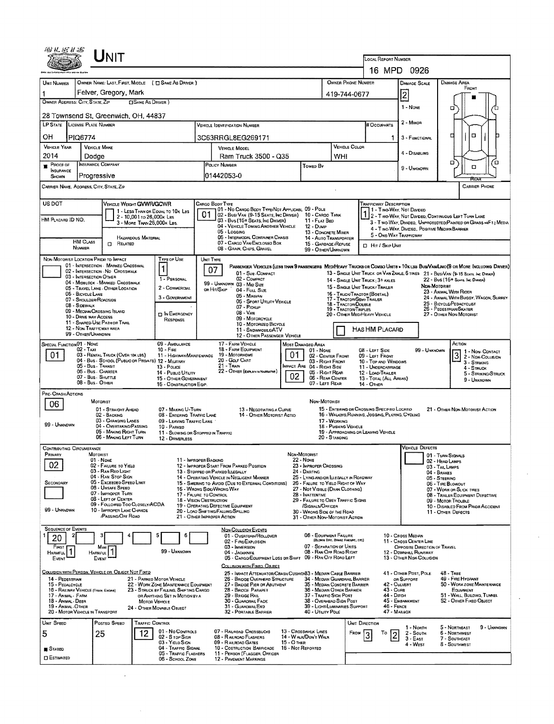|                                         | UNIT                                                                           |                                                                                         |                            |                                                                                                             |                                                                                                                       |                 |                                                                                                                                |                                                                 |                                                                                                                |                                                                                      |                      |                                                                  | LOCAL REPORT NUMBER<br>16 MPD 0926                                              |                                |                                                                                                                                                                                                                                                                                                                                                                                                               |             |  |  |  |  |
|-----------------------------------------|--------------------------------------------------------------------------------|-----------------------------------------------------------------------------------------|----------------------------|-------------------------------------------------------------------------------------------------------------|-----------------------------------------------------------------------------------------------------------------------|-----------------|--------------------------------------------------------------------------------------------------------------------------------|-----------------------------------------------------------------|----------------------------------------------------------------------------------------------------------------|--------------------------------------------------------------------------------------|----------------------|------------------------------------------------------------------|---------------------------------------------------------------------------------|--------------------------------|---------------------------------------------------------------------------------------------------------------------------------------------------------------------------------------------------------------------------------------------------------------------------------------------------------------------------------------------------------------------------------------------------------------|-------------|--|--|--|--|
|                                         |                                                                                |                                                                                         |                            |                                                                                                             |                                                                                                                       |                 |                                                                                                                                | <b>OWNER PHONE NUMBER</b><br><b>DAMAGE AREA</b><br>DAMAGE SCALE |                                                                                                                |                                                                                      |                      |                                                                  |                                                                                 |                                |                                                                                                                                                                                                                                                                                                                                                                                                               |             |  |  |  |  |
| UNIT NUMBER<br>1                        | OWNER NAME: LAST, FIRST, MIDDLE ( C) SAME AS DRIVER )<br>Felver, Gregory, Mark |                                                                                         |                            |                                                                                                             |                                                                                                                       |                 |                                                                                                                                |                                                                 |                                                                                                                |                                                                                      |                      | 419-744-0677                                                     | FRONT                                                                           |                                |                                                                                                                                                                                                                                                                                                                                                                                                               |             |  |  |  |  |
|                                         | OWNER ADDRESS: CITY, STATE, ZIP<br><b>CISAME AS DRIVER )</b>                   |                                                                                         |                            |                                                                                                             |                                                                                                                       |                 |                                                                                                                                |                                                                 |                                                                                                                |                                                                                      |                      |                                                                  | 2<br>1 - NONE                                                                   |                                |                                                                                                                                                                                                                                                                                                                                                                                                               |             |  |  |  |  |
| 28 Townsend St, Greenwich, OH, 44837    |                                                                                |                                                                                         |                            |                                                                                                             |                                                                                                                       |                 |                                                                                                                                |                                                                 |                                                                                                                |                                                                                      |                      |                                                                  |                                                                                 | а                              |                                                                                                                                                                                                                                                                                                                                                                                                               |             |  |  |  |  |
| LP STATE LICENSE PLATE NUMBER           |                                                                                |                                                                                         |                            |                                                                                                             |                                                                                                                       |                 | <b>VEHICLE IDENTIFICATION NUMBER</b>                                                                                           |                                                                 |                                                                                                                |                                                                                      |                      | # Occupants                                                      | 2 - Muyor                                                                       |                                |                                                                                                                                                                                                                                                                                                                                                                                                               |             |  |  |  |  |
| OН                                      | PIQ6774                                                                        |                                                                                         |                            |                                                                                                             |                                                                                                                       |                 | 3C63RRGL8EG269171                                                                                                              |                                                                 |                                                                                                                |                                                                                      |                      | 1                                                                | 3 - FUNCTIONAL                                                                  | O<br>□                         |                                                                                                                                                                                                                                                                                                                                                                                                               |             |  |  |  |  |
| <b>VEHICLE YEAR</b><br>2014             | <b>VEHICLE MAKE</b><br>Dodae                                                   |                                                                                         |                            |                                                                                                             |                                                                                                                       |                 | VEHICLE MODEL                                                                                                                  |                                                                 |                                                                                                                | <b>WHI</b>                                                                           | <b>VEHICLE COLOR</b> |                                                                  | 4 - DISABLING                                                                   |                                |                                                                                                                                                                                                                                                                                                                                                                                                               |             |  |  |  |  |
| PROOF OF                                | INSURANCE COMPANY                                                              |                                                                                         |                            |                                                                                                             | Ram Truck 3500 - Q35<br>POLICY NUMBER<br>Towed By                                                                     |                 |                                                                                                                                |                                                                 |                                                                                                                |                                                                                      |                      |                                                                  | 9 - Unknown                                                                     |                                | ۵<br>α                                                                                                                                                                                                                                                                                                                                                                                                        | ้ต          |  |  |  |  |
| <b>INSURANCE</b><br>SHOWN               | Progressive                                                                    |                                                                                         |                            |                                                                                                             |                                                                                                                       | 01442053-0      |                                                                                                                                |                                                                 |                                                                                                                |                                                                                      |                      |                                                                  |                                                                                 |                                | REAL                                                                                                                                                                                                                                                                                                                                                                                                          |             |  |  |  |  |
| CARRIER NAME, ADDRESS, CITY, STATE, ZIP |                                                                                |                                                                                         |                            |                                                                                                             |                                                                                                                       |                 |                                                                                                                                |                                                                 |                                                                                                                |                                                                                      |                      |                                                                  |                                                                                 |                                | <b>CARRIER PHONE</b>                                                                                                                                                                                                                                                                                                                                                                                          |             |  |  |  |  |
| US DOT                                  |                                                                                | <b>VEHICLE WEIGHT GVWR/GCWR</b>                                                         |                            |                                                                                                             |                                                                                                                       | CARGO BODY TYPE |                                                                                                                                |                                                                 |                                                                                                                |                                                                                      |                      | <b>TRAFFICWAY DESCRIPTION</b>                                    |                                                                                 |                                |                                                                                                                                                                                                                                                                                                                                                                                                               |             |  |  |  |  |
| HM Placard ID NO.                       |                                                                                |                                                                                         | 2 - 10,001 to 26,000x Las  | 1 - LESS THAN OR EQUAL TO 10K LBS                                                                           | 01                                                                                                                    |                 | 101 - No Cargo Body Type/Not Applicabl. 09 - Pole<br>02 - Bus/VAN (9-15 SEATS, INC DRIVER)<br>03 - Bus (16+ Seats, Inc DRIVER) |                                                                 | 10 - CARGO TANK<br>11 - FLAT BED                                                                               |                                                                                      |                      | 11 - Two-Way, Not Divided                                        |                                                                                 |                                | 1 2 - TWO-YAN, NOT DIVIDED, CONTINUOUS LEFT TURN LANE                                                                                                                                                                                                                                                                                                                                                         |             |  |  |  |  |
|                                         |                                                                                |                                                                                         | 3 - Mone THAN 26,000K LBS. |                                                                                                             |                                                                                                                       |                 | 04 - VEHICLE TOWING ANOTHER VEHICLE<br>05 - Logging                                                                            |                                                                 | 12 - Duse<br>13 - CONCRETE MIXER                                                                               |                                                                                      |                      |                                                                  | 4 - Two-WAY, DIVIDEO, POSITIVE MEDIAN BARRIER                                   |                                | 3 - T WO-WAY, DIVIDEO, UNPROTECTEO(PAINTED OR GRASS =4FT.) MEDIA                                                                                                                                                                                                                                                                                                                                              |             |  |  |  |  |
|                                         | <b>HM CLASS</b>                                                                | C RELATED                                                                               | <b>HAZARDOUS MATERIAL</b>  |                                                                                                             |                                                                                                                       |                 | 06 - INTERMODAL CONTAINER CHASIS<br>07 - CARGO VAN/ENCLOSEO BOX                                                                |                                                                 | 14 - AUTO TRANSPORTER<br>15 - GARBAGE/REFUSE                                                                   |                                                                                      |                      | 5 - ONE-WAY TRAFFICWAY<br><b>D</b> Hr / Skip Unit                |                                                                                 |                                |                                                                                                                                                                                                                                                                                                                                                                                                               |             |  |  |  |  |
| NON-MOTORIST LOCATION PRIOR TO IMPACT   | NUMBER                                                                         |                                                                                         |                            | <b>TYPE OF USE</b>                                                                                          |                                                                                                                       | UNIT TYPE       | 08 - GRAIN, CHIPS, GRAVEL                                                                                                      |                                                                 | 99 - OTHER/UNKNOWN                                                                                             |                                                                                      |                      |                                                                  |                                                                                 |                                |                                                                                                                                                                                                                                                                                                                                                                                                               |             |  |  |  |  |
|                                         |                                                                                | 01 - INTERSECTION - MARKED CROSSWAL<br>02 - INTERSECTION - NO CROSSWALK                 |                            |                                                                                                             |                                                                                                                       | 07              |                                                                                                                                |                                                                 |                                                                                                                |                                                                                      |                      |                                                                  |                                                                                 |                                | PASSENGER VEHICLES (LESS THAN 9 PASSENGERS MEDIMEAVY TRUCKS OR COMBO UNITS > 10K LBS BUS/VAMLIMO(9 OR MORE INCLUDING DRIVER)                                                                                                                                                                                                                                                                                  |             |  |  |  |  |
|                                         | 03 - INTERSECTION OTHER                                                        | 04 - MIDBLOCK - MARKED CROSSWALK                                                        |                            | 1 - PERSONAL                                                                                                |                                                                                                                       |                 | 01 - Sue COMPACT<br>02 - COMPACT<br>99 - UNKNOWN 03 - MID SIZE                                                                 |                                                                 |                                                                                                                |                                                                                      |                      | 14 - SINGLE UNIT TRUCK: 3+ AXLES                                 |                                                                                 |                                | 13 - SINGLE UNIT TRUCK OR VAN 2AXLE, 6 TIRES 21 - BUS/VAN (9-15 SEATS, INC DRIVER)<br>22 - Bus (16+ Seats, Inc Driver)                                                                                                                                                                                                                                                                                        |             |  |  |  |  |
|                                         | 06 - BICYCLE LANE                                                              | 05 - TRAVEL LANE - OTHER LOCATION                                                       |                            | 2 - COMMERCIAL<br>3 - GOVERNMENT                                                                            |                                                                                                                       | OR HIT/SKIP     | 04 - Full Size<br>05 - Miniwan                                                                                                 |                                                                 |                                                                                                                |                                                                                      |                      | 15 - SINGLE UNIT TRUCK / TRAILER<br>16 - TRUCK/TRACTOR (BOSTAIL) |                                                                                 | NDN-MOTORIST                   | 23 - ANIMAL WITH RIDER<br>24 - ANIMAL WITH BUGGY, WAGON, SURREY                                                                                                                                                                                                                                                                                                                                               |             |  |  |  |  |
|                                         | 07 - SHOULDER/ROADSIDE<br>08 - SIDEWALK                                        |                                                                                         |                            |                                                                                                             | 17 - TRACTOR/SEMI-TRAILER<br>05 - Sport Utility Vehicle<br>18 - TRACTOR/DOUBLE<br>07 - PICKUP<br>19 - Tractor/Triples |                 |                                                                                                                                |                                                                 |                                                                                                                |                                                                                      |                      | 25 - BICYCLE/PEDACYCLIST<br>26 - PEDESTRIAN SKATER               |                                                                                 |                                |                                                                                                                                                                                                                                                                                                                                                                                                               |             |  |  |  |  |
|                                         | 09 - MEDIAN/CROSSING ISLAND<br>10 - DRIVE WAY ACCESS                           | 11 - SHARED-USE PATH OR TRAIL                                                           |                            | <b>DIN EMERGENCY</b><br><b>RESPONSE</b>                                                                     | $08 - \text{Var}$<br>09 - MOTORCYCLE                                                                                  |                 |                                                                                                                                |                                                                 |                                                                                                                |                                                                                      |                      | 20 - OTHER MEDIHEAVY VEHICLE                                     |                                                                                 |                                | 27 - OTHER NON-MOTORIST                                                                                                                                                                                                                                                                                                                                                                                       |             |  |  |  |  |
|                                         | 12 - NON-TRAFFICWAY AREA<br>99 - OTHER/UNKNOWN                                 |                                                                                         |                            |                                                                                                             | 10 - MOTORIZED BICYCLE<br>11 - SNDWMOBLE/ATV<br>12 - OTHER PASSENGER VEHICLE                                          |                 |                                                                                                                                |                                                                 |                                                                                                                |                                                                                      |                      | HAS HM PLACARD                                                   |                                                                                 |                                |                                                                                                                                                                                                                                                                                                                                                                                                               |             |  |  |  |  |
| SPECIAL FUNCTION 01 - NONE              |                                                                                |                                                                                         |                            | 09 - AMBULANCE                                                                                              |                                                                                                                       |                 | 17 - FARM VEHICLE<br>18 - FARM EQUIPMENT                                                                                       |                                                                 | MOST DAMAGED AREA                                                                                              |                                                                                      |                      |                                                                  |                                                                                 |                                | Action                                                                                                                                                                                                                                                                                                                                                                                                        |             |  |  |  |  |
| 01.                                     | 02 - Taxi                                                                      | 03 - RENTAL TRUCK (OVER 10K LBS)<br>04 - BUS - SCHOOL (PUBLIC OR PRIVATE) 12 - MILITARY |                            | $10 -$ Fine<br>11 - HIGHWAY/MAINTENANCE                                                                     |                                                                                                                       |                 | 19 - MOTORHDME<br>20 - GOLF CART                                                                                               | 01                                                              | 01 - None<br>02 - CENTER FRONT<br>03 - RIGHT FRONT                                                             |                                                                                      |                      | 08 - LEFT SIDE<br>09 - LEFT FRONT<br>10 - Top and Windows        |                                                                                 | 99 - UNKNOWN                   | 1 - Non- CONTACT<br>$3 - \frac{1}{2}$<br>$3 - \frac{1}{2}$<br>$\frac{1}{2}$<br>$\frac{1}{2}$<br>$\frac{1}{2}$<br>$\frac{1}{2}$<br>$\frac{1}{2}$<br>$\frac{1}{2}$<br>$\frac{1}{2}$<br>$\frac{1}{2}$<br>$\frac{1}{2}$<br>$\frac{1}{2}$<br>$\frac{1}{2}$<br>$\frac{1}{2}$<br>$\frac{1}{2}$<br>$\frac{1}{2}$<br>$\frac{1}{2}$<br>$\frac{1}{2}$<br>$\frac{1}{2}$<br>$\frac{1}{2}$<br>$\frac{1}{2}$<br>$\frac{1}{2$ |             |  |  |  |  |
|                                         | 05 - Bus - Thansit<br>06 - Bus CHARTER                                         |                                                                                         |                            | 13 - Pouce<br>14 - PUBLIC UTILITY                                                                           |                                                                                                                       |                 | $21 - Trans$<br>22 - OTHER (EXPLANED NARRATIVE)                                                                                |                                                                 | MPACT ARE 04 - RIGHT SIDE<br>05 - RIGHT REAR                                                                   |                                                                                      |                      | 11 - UNDERCARRIAGE<br>12 - LOAD/TRAILER                          |                                                                                 |                                | 4 - STRUCK<br>5 - STRIKING/STRUCK                                                                                                                                                                                                                                                                                                                                                                             |             |  |  |  |  |
|                                         | 07 - Bus SHUTTLE<br>08 - Bus - OTHER                                           |                                                                                         |                            | 15 - OTHER GOVERNMENT<br>16 - CONSTRUCTION EQIP.                                                            |                                                                                                                       |                 |                                                                                                                                | 02                                                              | 06 - REAR CENTER<br>07 - LEFT REAR                                                                             |                                                                                      |                      | 13 - TOTAL (ALL AREAS)<br>14 - OTHER                             |                                                                                 |                                | 9 - UNKNOWN                                                                                                                                                                                                                                                                                                                                                                                                   |             |  |  |  |  |
| PRE-CRASH ACTIONS                       |                                                                                |                                                                                         |                            |                                                                                                             |                                                                                                                       |                 |                                                                                                                                |                                                                 |                                                                                                                |                                                                                      |                      |                                                                  |                                                                                 |                                |                                                                                                                                                                                                                                                                                                                                                                                                               |             |  |  |  |  |
| 06                                      | MOTORIST                                                                       | 01 - STRAIGHT AHEAD                                                                     |                            | 07 - MAKING U-TURN                                                                                          |                                                                                                                       |                 | 13 - NEGOTIATING A CURVE                                                                                                       |                                                                 | NON-MOTORIST                                                                                                   |                                                                                      |                      | 15 - ENTERING OR CROSSING SPECIFIED LOCATIO                      |                                                                                 |                                | 21 - OTHER NON-MOTORIST ACTION                                                                                                                                                                                                                                                                                                                                                                                |             |  |  |  |  |
| 99 - UNKNOWN                            |                                                                                | 02 - BACKING<br>03 - CHANGING LANES                                                     |                            | 08 - ENTERING TRAFFIC LANE<br>09 - LEAVING TRAFFIC LANE                                                     |                                                                                                                       |                 | 14 - OTHER MOTORIST ACTIO                                                                                                      |                                                                 |                                                                                                                | 17 - WORKING                                                                         |                      | 16 - WALKING, RUNNING, JOGGING, PLAYING, CYCLING                 |                                                                                 |                                |                                                                                                                                                                                                                                                                                                                                                                                                               |             |  |  |  |  |
|                                         |                                                                                | 04 - OVERTAKING/PASSING<br>05 - MAKING RIGHT TURN<br>06 - MAKING LEFT TURN              |                            | 10 - PARKED<br>11 - SLOWING OR STOPPED IN TRAFFIC                                                           |                                                                                                                       |                 |                                                                                                                                |                                                                 |                                                                                                                | 18 - Pushing Vehicle<br>20 - STANDING                                                |                      | 19 - APPROACHING OR LEAVING VEHICLE                              |                                                                                 |                                |                                                                                                                                                                                                                                                                                                                                                                                                               |             |  |  |  |  |
| <b>CONTRIBUTING CIRCUMSTANCE</b>        |                                                                                |                                                                                         |                            | 12 - DRIVERLESS                                                                                             |                                                                                                                       |                 |                                                                                                                                |                                                                 |                                                                                                                |                                                                                      |                      |                                                                  | <b>VEHICLE DEFECTS</b>                                                          |                                |                                                                                                                                                                                                                                                                                                                                                                                                               |             |  |  |  |  |
| PRIMARY                                 | <b>MOTORIST</b><br>01 - NONE                                                   |                                                                                         |                            | 11 - IMPROPER BACKING                                                                                       |                                                                                                                       |                 |                                                                                                                                |                                                                 | NON-MOTORIST<br>22 - Nove                                                                                      |                                                                                      |                      |                                                                  |                                                                                 | 02 - HEAD LAMPS                | 01 - Turn Signals                                                                                                                                                                                                                                                                                                                                                                                             |             |  |  |  |  |
| 02                                      |                                                                                | 02 - FAILURE TO YIELD<br>03 - RAN REO LIGHT<br>04 - RAN STOP SIGN                       |                            |                                                                                                             |                                                                                                                       |                 | 12 - IMPROPER START FROM PARKED POSITION<br>13 - STOPPEO OR PARKEO LLEGALLY                                                    |                                                                 | 23 - IMPROPER CROSSING<br>24 - DARTING                                                                         |                                                                                      |                      |                                                                  |                                                                                 | 03 - TAIL LAMPS<br>04 - BRAKES |                                                                                                                                                                                                                                                                                                                                                                                                               |             |  |  |  |  |
| SECONDARY                               |                                                                                | 05 - Excesoso Speso Limit<br>06 - UNSAFE SPEED                                          |                            | 16 - Wrong Side/Wrong WAY                                                                                   |                                                                                                                       |                 | 14 - OPERATING VEHICLE IN NEGLIGENT MANNER<br>15 - SWERING TO AVOID (DUE TO EXTERNAL CONDITIONS)                               |                                                                 | 25 - LYING AND/OR LLEGALLY IN ROADWAY<br>26 - FALURE TO YIELD RIGHT OF WAY<br>27 - NOT VISIBLE (DARK CLOTHING) |                                                                                      |                      |                                                                  |                                                                                 | 05 - STEERING                  | 06 - TIRE BLOWOUT                                                                                                                                                                                                                                                                                                                                                                                             |             |  |  |  |  |
|                                         |                                                                                | 07 - IMPROPER TURN<br>08 - LEFT OF CENTER                                               |                            | 17 - FALURE TO CONTROL<br><b>18 - VISION OBSTRUCTION</b>                                                    |                                                                                                                       |                 |                                                                                                                                |                                                                 | 28 - INATTENTIVE<br>29 - FAILURE TO OBEY TRAFFIC SIGNS                                                         |                                                                                      |                      |                                                                  |                                                                                 |                                | 07 - WORN OR SLICK TIRES<br>08 - TRAILER EQUIPMENT DEFECTIVE<br>09 - MOTOR TROUBLE                                                                                                                                                                                                                                                                                                                            |             |  |  |  |  |
| 99 - UNKNDWN                            |                                                                                | 09 - FOLLOWED TOO CLOSELY/ACDA<br>10 - IMPROPER LANE CHANCE                             |                            |                                                                                                             |                                                                                                                       |                 | 19 - OPERATING DEFECTIVE EQUIPMENT<br>20 - LOAD SHIFTING/FALLING/SPILLING                                                      |                                                                 | /SIGNALS/OFFICER                                                                                               | 10 - DISABLED FROM PRIOR ACCIDENT<br>30 - WRONG SIDE OF THE ROAD<br>11 OTHER DEFECTS |                      |                                                                  |                                                                                 |                                |                                                                                                                                                                                                                                                                                                                                                                                                               |             |  |  |  |  |
|                                         |                                                                                | <b>PASSING/OFF ROAD</b>                                                                 |                            | 21 - OTHER IMPROPER ACTION                                                                                  |                                                                                                                       |                 |                                                                                                                                |                                                                 | 31 - OTHER NON-MOTORIST ACTION                                                                                 |                                                                                      |                      |                                                                  |                                                                                 |                                |                                                                                                                                                                                                                                                                                                                                                                                                               |             |  |  |  |  |
| <b>SEQUENCE OF EVENTS</b><br>20         |                                                                                |                                                                                         |                            | 6                                                                                                           |                                                                                                                       |                 | NON-COLLISION EVENTS<br>01 - OVERTURN/ROLLOVER                                                                                 |                                                                 | 06 - EQUIPMENT FAILURE                                                                                         | (BLOWN TIME, BRAKE FAANIRE, ETC)                                                     |                      |                                                                  | 10 - CROSS MEDIAN                                                               |                                |                                                                                                                                                                                                                                                                                                                                                                                                               |             |  |  |  |  |
| FIRST<br><b>HARMEUL</b>                 | Harmful                                                                        | Most                                                                                    |                            | 99 - Unknown                                                                                                |                                                                                                                       |                 | 02 - FIRE/EXPLOSION<br>03 - IMMERSION<br>04 - JACKKNIFE                                                                        |                                                                 | 07 - SEPARATION OF UNITS<br>08 - RAN OFF ROAD RIGHT                                                            |                                                                                      |                      |                                                                  | 11 - Cross CENTER LINE<br>OPPOSITE DIRECTION OF TRAVEL<br>12 - DOWNHILL RUNAWAY |                                |                                                                                                                                                                                                                                                                                                                                                                                                               |             |  |  |  |  |
| EVENT                                   | Event                                                                          |                                                                                         |                            |                                                                                                             |                                                                                                                       |                 | 05 - CARGO/EQUIPMENT LOSS OR SHIFT<br>COLLISION WITH FIXED, OBJECT                                                             |                                                                 | 09 - RAN OFF ROAD LEFT                                                                                         |                                                                                      |                      |                                                                  | 13 - OTHER NON-COLLISION                                                        |                                |                                                                                                                                                                                                                                                                                                                                                                                                               |             |  |  |  |  |
|                                         |                                                                                | COLLISION WITH PERSON, VEHICLE OR OBJECT NOT FIXED                                      |                            |                                                                                                             |                                                                                                                       |                 | 25 - IMPACT ATTENUATOR/CRASH CUSHIQIS3 - MEDIAN CABLE BARRIER                                                                  |                                                                 |                                                                                                                |                                                                                      |                      |                                                                  | 41 - OTHER POST, POLE                                                           |                                | 48 - TREE<br>49 - Fire Hydrant                                                                                                                                                                                                                                                                                                                                                                                |             |  |  |  |  |
| 14 - PEDESTRIAN<br>15 - PEDALCYCLE      | 16 - RAILWAY VEHICLE (TRAIN, ENGINE)                                           |                                                                                         |                            | 21 - PARKED MOTOR VEHICLE<br>22 - WORK ZONE MAINTENANCE EQUIPMENT<br>23 - STRUCK BY FALLING, SHIFTING CARGO |                                                                                                                       |                 | 26 - BRIDGE OVERHEAD STRUCTURE<br>27 - BRIDGE PIER OR ABUTMENT<br>28 - BRIDGE PARAPET                                          |                                                                 | 34 - MEDIAN GUARDRAIL BARRIER<br>35 - MEDIAN CONCRETE BARRIER<br>36 - MEDIAN OTHER BARRIER                     |                                                                                      |                      | 43 - CURB                                                        | OR SUPPORT<br>42 - CULVERT                                                      |                                | 50 - WORK ZONE MAINTENANCE<br>EQUIPMENT                                                                                                                                                                                                                                                                                                                                                                       |             |  |  |  |  |
| 17 - Anmal - Farm<br>18 - ANIMAL - DEER |                                                                                |                                                                                         | MOTOR VEHICLE              | OR ANYTHING SET IN MOTION BY A                                                                              |                                                                                                                       |                 | 29 - BRIDGE RAIL<br>30 - GUARDRAIL FACE                                                                                        |                                                                 | 37 - TRAFFIC SIGN POST<br>38 - OVERHEAD SIGN POST                                                              |                                                                                      |                      | 44 - Опсн                                                        | 45 - EMBANKMENT                                                                 |                                | 51 - WALL, BURDING, TUNNEL<br>52 - OTHER FIXED OBJECT                                                                                                                                                                                                                                                                                                                                                         |             |  |  |  |  |
| 19 - ANIMAL - OTHER                     | 20 - MOTOR VEHICLE IN TRANSPORT                                                |                                                                                         |                            | 24 - OTHER MOVABLE OBJECT                                                                                   |                                                                                                                       |                 | 31 - GUARDRAILEND<br>32 - PORTABLE BARRIER                                                                                     |                                                                 | 39 - LIGHT/LUMINARIES SUPPORT<br>40 - UTILITY POLE                                                             |                                                                                      |                      | 46 - FENCE                                                       | 47 - MAILBOX                                                                    |                                |                                                                                                                                                                                                                                                                                                                                                                                                               |             |  |  |  |  |
| UNIT SPEED                              |                                                                                | POSTED SPEED                                                                            | <b>TRAFFIC CONTROL</b>     |                                                                                                             |                                                                                                                       |                 |                                                                                                                                |                                                                 |                                                                                                                |                                                                                      | UNIT DIRECTION       |                                                                  | 1 - North                                                                       |                                | 5 - Northeast                                                                                                                                                                                                                                                                                                                                                                                                 | 9 - Unknown |  |  |  |  |
| 5                                       | 25                                                                             |                                                                                         | 12                         | 01 - No CONTROLS<br>02 - S TOP SIGN                                                                         |                                                                                                                       |                 | 07 - RAILROAD CROSSBUCKS<br>08 - RAILROAD FLASHERS                                                                             |                                                                 | 13 - Crosswalk Lines<br>14 - WALK/DON'T WALK                                                                   |                                                                                      | FROM                 | То                                                               | $2 -$ South<br>$3 - EAST$                                                       |                                | 6 - NORTHWEST<br>7 - SOUTHEAST                                                                                                                                                                                                                                                                                                                                                                                |             |  |  |  |  |
| <b>B</b> Stated                         |                                                                                |                                                                                         |                            | 03 - YIELD SIGN<br>04 - TRAFFIC SIGNAL<br>05 - TRAFFIC FLASHERS                                             |                                                                                                                       |                 | 09 - RAILROAD GATES<br>10 - COSTRUCTION BARRICADE<br>11 - PERSON (FLAGGER, OFFICER                                             | <b>15 - O THER</b><br>16 - Not Reported                         |                                                                                                                |                                                                                      |                      |                                                                  | 4 - West                                                                        |                                | 8 - SOUTHWEST                                                                                                                                                                                                                                                                                                                                                                                                 |             |  |  |  |  |
| <b>CI ESTIMATED</b>                     |                                                                                |                                                                                         |                            | 06 - SCHOOL ZONE                                                                                            |                                                                                                                       |                 | 12 - PAVEMENT MARKINGS                                                                                                         |                                                                 |                                                                                                                |                                                                                      |                      |                                                                  |                                                                                 |                                |                                                                                                                                                                                                                                                                                                                                                                                                               |             |  |  |  |  |

 $\mathcal{L}^{\text{max}}_{\text{max}}$ 

 $\lambda$ 

 $\mathcal{L}^{\mathcal{L}}$ 

 $\cdot$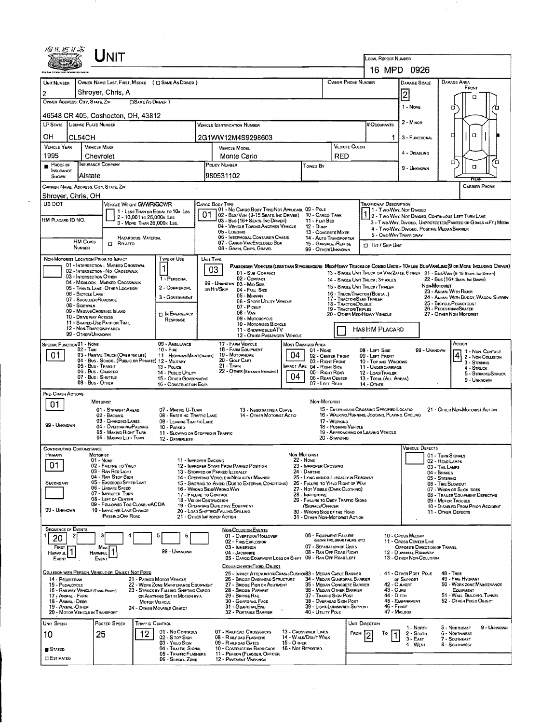| 圆丛医扩高                                                                        |                                             | Unit                                                                    |                                                         |                                                                          |    |                                                                                  |                                                                                                                               |                                                             |                                                               |                                                                                                                   |                                                         |                                                                                                                                                          |                                                                                    |                                 |                         |                                          |  |  |  |
|------------------------------------------------------------------------------|---------------------------------------------|-------------------------------------------------------------------------|---------------------------------------------------------|--------------------------------------------------------------------------|----|----------------------------------------------------------------------------------|-------------------------------------------------------------------------------------------------------------------------------|-------------------------------------------------------------|---------------------------------------------------------------|-------------------------------------------------------------------------------------------------------------------|---------------------------------------------------------|----------------------------------------------------------------------------------------------------------------------------------------------------------|------------------------------------------------------------------------------------|---------------------------------|-------------------------|------------------------------------------|--|--|--|
|                                                                              |                                             |                                                                         |                                                         |                                                                          |    |                                                                                  |                                                                                                                               |                                                             |                                                               |                                                                                                                   |                                                         | LOCAL REPORT NUMBER                                                                                                                                      |                                                                                    |                                 |                         |                                          |  |  |  |
|                                                                              |                                             |                                                                         |                                                         |                                                                          |    |                                                                                  |                                                                                                                               |                                                             |                                                               |                                                                                                                   |                                                         |                                                                                                                                                          | 16 MPD 0926                                                                        |                                 |                         |                                          |  |  |  |
| UNIT NUMBER                                                                  |                                             |                                                                         |                                                         | OWNER NAME: LAST, FIRST, MIDDLE ( C SAME AS DRIVER )                     |    |                                                                                  |                                                                                                                               |                                                             |                                                               |                                                                                                                   | OWNER PHONE NUMBER                                      |                                                                                                                                                          | <b>DAMAGE SCALE</b>                                                                | <b>DAMAGE AREA</b>              | FRONT                   |                                          |  |  |  |
| Shroyer, Chris, A<br>2                                                       |                                             |                                                                         |                                                         |                                                                          |    |                                                                                  |                                                                                                                               |                                                             |                                                               |                                                                                                                   |                                                         |                                                                                                                                                          | $\overline{2}$                                                                     |                                 | ם                       |                                          |  |  |  |
| OWNER ADDRESS: CITY, STATE, ZIP<br><b>CISAME AS DRIVER</b> )                 |                                             |                                                                         |                                                         |                                                                          |    |                                                                                  |                                                                                                                               |                                                             |                                                               |                                                                                                                   |                                                         |                                                                                                                                                          | 1 - None                                                                           | α                               |                         |                                          |  |  |  |
| 46548 CR 405, Coshocton, OH, 43812                                           |                                             |                                                                         |                                                         |                                                                          |    |                                                                                  |                                                                                                                               |                                                             |                                                               |                                                                                                                   |                                                         |                                                                                                                                                          | $2 -$ MINOR                                                                        |                                 |                         |                                          |  |  |  |
| LP STATE LICENSE PLATE NUMBER                                                |                                             |                                                                         |                                                         |                                                                          |    |                                                                                  | <b>VEHICLE IDENTIFICATION NUMBER</b>                                                                                          |                                                             |                                                               |                                                                                                                   |                                                         | # Occupants                                                                                                                                              |                                                                                    |                                 |                         |                                          |  |  |  |
| он                                                                           | CL54CH                                      |                                                                         |                                                         |                                                                          |    |                                                                                  | 2G1WW12M4S9298603                                                                                                             |                                                             |                                                               |                                                                                                                   |                                                         | 1                                                                                                                                                        | 3 - FUNCTIONAL                                                                     | п                               | $\Box$                  |                                          |  |  |  |
| <b>VEHICLE YEAR</b><br>1995                                                  |                                             | <b>VEHICLE MAKE</b>                                                     |                                                         |                                                                          |    |                                                                                  | <b>VEHICLE MODEL</b>                                                                                                          |                                                             |                                                               |                                                                                                                   | <b>VEHICLE COLOR</b>                                    |                                                                                                                                                          | 4 - DISABLING                                                                      |                                 |                         |                                          |  |  |  |
| $P_{\text{ROOF OF}}$                                                         |                                             | Chevrolet<br>INSURANCE COMPANY                                          |                                                         |                                                                          |    | POLICY NUMBER                                                                    | Monte Carlo                                                                                                                   |                                                             | Towed By                                                      | RED                                                                                                               |                                                         |                                                                                                                                                          |                                                                                    | □                               | o                       | □                                        |  |  |  |
| <b>INSURANCE</b><br>SHOWN                                                    | Alstate                                     |                                                                         |                                                         |                                                                          |    | 980531102                                                                        |                                                                                                                               |                                                             |                                                               |                                                                                                                   |                                                         |                                                                                                                                                          | 9 - UNKNOWN                                                                        |                                 | REAR                    |                                          |  |  |  |
| CARRIER NAME, ADDRESS, CITY, STATE, ZIP                                      |                                             |                                                                         |                                                         |                                                                          |    |                                                                                  |                                                                                                                               |                                                             |                                                               |                                                                                                                   |                                                         |                                                                                                                                                          |                                                                                    |                                 |                         | <b>CARRIER PHONE</b>                     |  |  |  |
| Shroyer, Chris, OH<br>US DOT                                                 |                                             | VEHICLE WEIGHT GVWR/GCWR                                                |                                                         |                                                                          |    | CARGO BODY TYPE                                                                  |                                                                                                                               |                                                             |                                                               |                                                                                                                   |                                                         | <b>TRAFFICWAY DESCRIPTION</b>                                                                                                                            |                                                                                    |                                 |                         |                                          |  |  |  |
|                                                                              |                                             |                                                                         |                                                         | 1 - LESS THAN OR EQUAL TO 10K LBS                                        | 01 |                                                                                  | 01 - No Cargo Body Type/Not Applicabl 09 - Pole<br>02 - Bus/ Van (9-15 Seats, Inc Driver)                                     |                                                             | 10 - CARGO TANK                                               |                                                                                                                   |                                                         |                                                                                                                                                          | 1 - Two Way, Not Divideo<br>2 - Two-Way, Not Divideo, Continuous Left Turn Lane    |                                 |                         |                                          |  |  |  |
| HM PLACARD ID NO.                                                            |                                             |                                                                         | 2 - 10,001 to 26,000x Las<br>3 - MORE THAN 26,000K LBS. |                                                                          |    |                                                                                  | 03 - Bus (16+ Seats, Inc Driver)<br>04 - VEHICLE TOWING ANDTHER VEHICLE                                                       |                                                             | 11 - FLAT BED<br>12 - Duse                                    |                                                                                                                   |                                                         |                                                                                                                                                          | 3 - Two-Way, Divided, Unprotected(Painted or Grass >4FT.) Media                    |                                 |                         |                                          |  |  |  |
|                                                                              |                                             |                                                                         | <b>HAZARDOUS MATERIAL</b>                               |                                                                          |    |                                                                                  | 05 - Logging<br>06 - INTERMODAL CONTAINER CHASIS                                                                              |                                                             | 13 - CONCRETE MIXER<br><b>14 - AUTO TRANSPORTER</b>           |                                                                                                                   |                                                         | 5 - ONE-WAY TRAFFICWAY                                                                                                                                   | 4 - TWO-WAY, DIVIDED, POSITIVE MEDIAN BARRIER                                      |                                 |                         |                                          |  |  |  |
|                                                                              | <b>HM CLASS</b><br>NUMBER                   | RELATED<br>0                                                            |                                                         |                                                                          |    |                                                                                  | 07 - CARGO VAN/ENCLOSED BOX<br>08 - GRAIN, CHIPS, GRAVEL                                                                      |                                                             | 15 - GARBAGE /REFUSE<br>99 - OTHER/UNKNOWN                    |                                                                                                                   |                                                         | <b>D</b> Him / Skip Unit                                                                                                                                 |                                                                                    |                                 |                         |                                          |  |  |  |
| NON-MOTORIST LOCATION PRIOR TO IMPACT                                        |                                             |                                                                         |                                                         | Type of Use                                                              |    | UNIT TYPE                                                                        |                                                                                                                               |                                                             |                                                               |                                                                                                                   |                                                         |                                                                                                                                                          |                                                                                    |                                 |                         |                                          |  |  |  |
|                                                                              |                                             | 01 - INTERSECTION - MARKED CROSSWAL<br>02 - INTERSECTION - NO CROSSWALK |                                                         | 1                                                                        |    | 03                                                                               | PASSENGER VEHICLES (LESS THAN 9 PASSENGERS MEDIMEANY TRUCKS OR COMBO UNITS > 10K LBB BUS/VAN/LIMO(9 OR MORE INCLUDING DRIVER) |                                                             |                                                               |                                                                                                                   |                                                         |                                                                                                                                                          |                                                                                    |                                 |                         |                                          |  |  |  |
|                                                                              | 03 - INTERSECTION OTHER                     |                                                                         |                                                         | 1 - PERSONAL                                                             |    |                                                                                  | 01 - SUB-COMPACT-<br>02 - COMPACT                                                                                             |                                                             |                                                               |                                                                                                                   |                                                         | 14 - SINGLE UNIT TRUCK; 3+ AXLES                                                                                                                         | 13 - SINGLE UNIT TRUCK OR VAN 2AXLE, 6 TIRES 21 - BUS/VAN (9-15 SEATS, INC DRIVER) | 22 - Bus (16+ Sexto, Inc Daven) |                         |                                          |  |  |  |
|                                                                              |                                             | 04 - MIDBLOCK - MARKED CROSSWALK<br>05 - TRAVEL LANE - OTHER LOCATION   |                                                         | 2 - COMMERCIAL                                                           |    | OR HIT/SKIP                                                                      | 99 - UNKNOWN 03 - MID SIZE<br>04 - FULL SIZE                                                                                  |                                                             |                                                               |                                                                                                                   |                                                         | 15 - SINGLE UNIT TRUCK / TRAILER                                                                                                                         |                                                                                    | Non-Motoriet                    |                         |                                          |  |  |  |
|                                                                              | 06 - BICYCLE LANE<br>07 - Shoulder/Roadside |                                                                         |                                                         | 3 - GOVERNMENT                                                           |    |                                                                                  | 05 - MINIVAN<br>06 - Sport UTILITY VEHICLE                                                                                    |                                                             |                                                               |                                                                                                                   |                                                         | 23 - ANIMAL WITH RIDER<br>16 - TRUCK/TRACTOR (BOBTAIL)<br>24 - ANIMAL WITH BUGGY, WAGON, SURREY<br>17 - TRACTOR/SEMI-TRAILER<br>25 - BICYCLE/PEDACYCLIST |                                                                                    |                                 |                         |                                          |  |  |  |
| 08 - SIDEWALK<br>07 - Pickup<br>09 - MEDIAN/CROSSING ISLAND<br>$08 - V_{AN}$ |                                             |                                                                         |                                                         |                                                                          |    |                                                                                  |                                                                                                                               |                                                             |                                                               | 18 - TRACTOR/DOUBLE<br>26 - PEDESTRIAN/SKATER<br><b>19 - TRACTOR/TRIPLES</b><br>27 - OTHER NON-MOTORIST           |                                                         |                                                                                                                                                          |                                                                                    |                                 |                         |                                          |  |  |  |
|                                                                              | 10 - DRIVE WAY ACCESS                       | 11 - SHARED-USE PATH OR TRAIL                                           |                                                         | <b>T IN EMERGENCY</b><br>RESPONSE                                        |    | 20 - OTHER MEDIMEAVY VEHICLE<br>09 - MOTORCYCLE<br>10 - Motorized Bicycle        |                                                                                                                               |                                                             |                                                               |                                                                                                                   |                                                         |                                                                                                                                                          |                                                                                    |                                 |                         |                                          |  |  |  |
|                                                                              | 99 - OTHER/UNKNOWN                          | 12 - NON-TRAFFICWAY AREA                                                |                                                         |                                                                          |    | 11 - SNOWMOBILE/ATV<br>12 - OTHER PASSENGER VEHICLE                              |                                                                                                                               |                                                             |                                                               |                                                                                                                   |                                                         | Has HM Placard                                                                                                                                           |                                                                                    |                                 |                         |                                          |  |  |  |
| SPECIAL FUNCTION 01 - NONE                                                   |                                             |                                                                         |                                                         | 09 - AMBULANCE                                                           |    |                                                                                  | 17 - FARM VEHICLE                                                                                                             |                                                             | <b>MOST DAMAGED AREA</b>                                      |                                                                                                                   |                                                         |                                                                                                                                                          |                                                                                    |                                 | ACTION                  |                                          |  |  |  |
| 01                                                                           | $02 - T_Ax_0$                               | 03 - RENTAL TRUCK (OVER 10K LBS)                                        |                                                         | $10 -$ Fire<br>11 - HIGHWAY/MAINTENANCE                                  |    |                                                                                  | 18 - FARM EQUIPMENT<br>19 - Мотовноме                                                                                         | 04                                                          | 01 - NONE<br>02 - CENTER FRONT                                |                                                                                                                   |                                                         | 08 - LEFT SIDE<br>09 - LEFT FRONT                                                                                                                        | 99 - Unknown                                                                       |                                 |                         | 1 1 - NDN-CONTACT<br>$42 - Non-COLUTION$ |  |  |  |
|                                                                              | 05 - Bus - Transit                          | 04 - Bus - SCHOOL (PUBLIC OR PRIVATE) 12 - MILITARY                     |                                                         | 13 - Pouce                                                               |    | 20 - GOLF CART<br>03 - Right Front<br>$21 -$ Train<br>IMPACT ARE 04 - RIGHT SIDE |                                                                                                                               |                                                             |                                                               |                                                                                                                   | 10 - TOP AND WINDOWS                                    | 3 - STRIKING                                                                                                                                             |                                                                                    |                                 |                         |                                          |  |  |  |
|                                                                              | 06 - Bus - Charter<br>07 - Bus - SHUTTLE    |                                                                         |                                                         | 14 - PUBLIC UTILITY                                                      |    |                                                                                  | 22 - OTHER (EXPLANIN NASOARING)                                                                                               | 04                                                          | 05 - Right Rear<br>06 - REAR CENTER                           |                                                                                                                   |                                                         | 11 - UNDERCARRIAGE<br>12 - LOAD/TRAILER                                                                                                                  |                                                                                    |                                 | 4 - Struck              | 5 - STRIKING/STRUCK                      |  |  |  |
|                                                                              | 08 - Bus - OTHER                            |                                                                         |                                                         | 15 - OTHER GOVERNMENT<br>16 - CONSTRUCTION EQIP.                         |    |                                                                                  |                                                                                                                               |                                                             | 07 - LEFT REAR                                                |                                                                                                                   |                                                         | 13 - TOTAL (ALL AREAS)<br>14 - Отнев                                                                                                                     |                                                                                    |                                 |                         | 9 - UNKNOWN                              |  |  |  |
| PRE- CRASH ACTIONS                                                           |                                             |                                                                         |                                                         |                                                                          |    |                                                                                  |                                                                                                                               |                                                             |                                                               |                                                                                                                   |                                                         |                                                                                                                                                          |                                                                                    |                                 |                         |                                          |  |  |  |
| 01                                                                           |                                             | MOTORIST<br>01 - STRAIGHT AHEAD                                         |                                                         | 07 - MAKING U-TURN                                                       |    |                                                                                  | 13 - Negotiating a Curve                                                                                                      |                                                             | NON-MOTORIST                                                  |                                                                                                                   |                                                         | 15 - ENTERING OR CROSSING SPECIFIED LOCATIO                                                                                                              |                                                                                    | 21 - OTHER NON-MOTORIST ACTION  |                         |                                          |  |  |  |
|                                                                              |                                             | 02 - BACKING<br>03 - CHANGING LANES                                     |                                                         | 08 - ENTERING TRAFFIC LANE<br>09 - LEAVING TRAFFIC LANE                  |    | 14 - OTHER MOTORIST ACTIO<br>17 - WORKING                                        |                                                                                                                               |                                                             |                                                               |                                                                                                                   |                                                         | 16 - WALKING, RUNNING, JOGGING, PLAYING, CYCLING                                                                                                         |                                                                                    |                                 |                         |                                          |  |  |  |
| 99 - UNKNOWN                                                                 |                                             | 04 - OVERTAKING/PASSING<br>05 - MAKING RIGHT TURN                       |                                                         | 10 - PARKED<br>11 - SLOWING OR STOPPED IN TRAFFIC                        |    |                                                                                  |                                                                                                                               | 18 - PUSHING VEHICLE<br>19 - APPROACHING OR LEAVING VEHICLE |                                                               |                                                                                                                   |                                                         |                                                                                                                                                          |                                                                                    |                                 |                         |                                          |  |  |  |
|                                                                              |                                             | 06 - MAKING LEFT TURN                                                   |                                                         | 12 - DRIVERLESS                                                          |    |                                                                                  |                                                                                                                               |                                                             |                                                               | 20 - STANDING                                                                                                     |                                                         |                                                                                                                                                          |                                                                                    |                                 |                         |                                          |  |  |  |
| <b>CONTRIBUTING CIRCUMSTANCE</b><br>PRIMARY                                  |                                             | <b>MOTORIST</b>                                                         |                                                         |                                                                          |    |                                                                                  |                                                                                                                               |                                                             | NON-MOTORIST                                                  |                                                                                                                   |                                                         |                                                                                                                                                          | VEHICLE DEFECTS                                                                    | <b>101 - TURN SIGNALS</b>       |                         |                                          |  |  |  |
| 01                                                                           |                                             | 01 - NONE<br>02 - FAILURE TO YIELD                                      |                                                         | 11 - IMPROPER BACKING                                                    |    |                                                                                  | 12 - IMPROPER START FROM PARKED POSITION                                                                                      |                                                             | <b>22 - NONE</b><br>23 - IMPROPER CROSSING                    |                                                                                                                   |                                                         |                                                                                                                                                          |                                                                                    | 02 - HEAD LAMPS                 |                         |                                          |  |  |  |
|                                                                              |                                             | 03 - RAN RED LIGHT<br>04 - RAN STOP SIGN                                |                                                         |                                                                          |    |                                                                                  | 13 - STOPPED OR PARKED LLEGALLY                                                                                               |                                                             | 24 - DARTING                                                  |                                                                                                                   |                                                         |                                                                                                                                                          |                                                                                    | 03 - TAIL LAMPS<br>04 - BRAKES  |                         |                                          |  |  |  |
| SECONDARY                                                                    |                                             | 05 - Exceeded Speed Limit<br>06 - UNSAFE SPEED                          |                                                         |                                                                          |    |                                                                                  | 14 - OPERATING VEHICLE IN NEGLIGENT MANNER<br>15 - SWERING TO AVOID (DUE TO EXTERNAL CONDITIONS)                              |                                                             |                                                               | 25 - LYING AND/OR ILLEGALLY IN ROADWAY<br>05 - STEERING<br>26 - FALURE TO YIELD RIGHT OF WAY<br>06 - TIRE BLOWOUT |                                                         |                                                                                                                                                          |                                                                                    |                                 |                         |                                          |  |  |  |
|                                                                              |                                             | 07 - IMPROPER TURN<br>08 - LEFT OF CENTER                               |                                                         | 16 - WRONG SIDE/WRONG WAY<br>17 - FALURE TO CONTROL                      |    |                                                                                  |                                                                                                                               |                                                             | 28 - INATTENTIVE                                              | 27 - NOT VISIBLE (DARK CLOTHING)<br>07 - WORN OR SLICK TIRES<br>08 - TRAILER EQUIPMENT DEFECTIVE                  |                                                         |                                                                                                                                                          |                                                                                    |                                 |                         |                                          |  |  |  |
| 99 - UNKNOWN                                                                 |                                             | 09 - FOLLOWED TOO CLOSELY/ACDA<br>10 - IMPROPER LANE CHANGE             |                                                         | 18 - VISION OBSTRUCTION                                                  |    |                                                                                  | 19 - OPERATING DEFECTIVE EQUIPMENT                                                                                            |                                                             | 29 - FAILURE TO OBEY TRAFFIC SIGNS<br>/SIGNALS/OFFICER        |                                                                                                                   | 09 - Motor Trouble<br>10 - DISABLED FROM PRIOR ACCIDENT |                                                                                                                                                          |                                                                                    |                                 |                         |                                          |  |  |  |
|                                                                              |                                             | /PASSING/OFF ROAD                                                       |                                                         | 21 - OTHER IMPROPER ACTION                                               |    |                                                                                  | 20 - LOAD SHETING/FALLING/SPILLING                                                                                            |                                                             | 30 - WRONG SIDE OF THE ROAD<br>31 - OTHER NON-MOTORIST ACTION |                                                                                                                   |                                                         |                                                                                                                                                          |                                                                                    | 11 - OTHER DEFECTS              |                         |                                          |  |  |  |
| <b>SEQUENCE OF EVENTS</b>                                                    |                                             |                                                                         |                                                         |                                                                          |    |                                                                                  | <b>NON-COLLISION EVENTS</b>                                                                                                   |                                                             |                                                               |                                                                                                                   |                                                         |                                                                                                                                                          |                                                                                    |                                 |                         |                                          |  |  |  |
| 2<br>20                                                                      |                                             |                                                                         |                                                         | 5<br>6                                                                   |    |                                                                                  | 01 - Overturn/Rollover<br>02 - FIRE/EXPLOSION                                                                                 |                                                             | 06 - EQUIPMENT FAILURE                                        |                                                                                                                   | (BLOWN TIRE, BRAKE FAILURE, ETC)                        |                                                                                                                                                          | 10 - Cross Median<br>11 - Cross CENTER LINE                                        |                                 |                         |                                          |  |  |  |
| FIRST<br><b>HARMFUL</b>                                                      |                                             | Most<br><b>HARMFUL</b>                                                  |                                                         | 99 - UNKNOWN                                                             |    |                                                                                  | 03 - IMMERSIDN<br>04 - JACKKNIFE                                                                                              |                                                             | 07 - SEPARATION OF UNITS<br>08 - RAN OFF ROAD RIGHT           |                                                                                                                   |                                                         |                                                                                                                                                          | OPPOSITE DIRECTION OF TRAVEL<br>12 - DDWNHEL RUNAWAY                               |                                 |                         |                                          |  |  |  |
| EVENT                                                                        |                                             | EVENT                                                                   |                                                         |                                                                          |    |                                                                                  | 05 - CARGO/EOUIPMENT LOSS OR SHIFT                                                                                            |                                                             | 09 - RAN OFF ROAD LEFT                                        |                                                                                                                   |                                                         |                                                                                                                                                          | 13 - OTHER NON-COLLISION                                                           |                                 |                         |                                          |  |  |  |
|                                                                              |                                             | COLLISION WITH PERSON, VEHICLE OR OBJECT NOT FIXED                      |                                                         |                                                                          |    |                                                                                  | COLLISION WITH FIXED, OBJECT<br>25 - IMPACT ATTENUATOR/CRASH CUSHION33 - MEDIAN CABLE BARRIER                                 |                                                             |                                                               |                                                                                                                   |                                                         |                                                                                                                                                          | 41 - OTHER POST, POLE                                                              | <b>48 - TREE</b>                |                         |                                          |  |  |  |
| 14 - PEDESTRIAN<br>15 - PEDALCYCLE                                           |                                             |                                                                         |                                                         | 21 - PARKED MOTOR VEHICLE<br>22 - WORK ZONE MAINTENANCE EQUIPMENT        |    |                                                                                  | 26 - BRIDGE OVERHEAD STRUCTURE<br>27 - BRIDGE PIER OR ABUTMENT                                                                |                                                             | 34 - MEDIAN GUARDRAIL BARRIER<br>35 - MEDIAN CONCRETE BARRIER |                                                                                                                   |                                                         |                                                                                                                                                          | <b>DR SUPPORT</b><br>42 - CULVERT                                                  |                                 | 49 - FIRE HYDRANT       | 50 - WORK ZONE MAINTENANCE               |  |  |  |
| 16 - RAILWAY VEHICLE (TRAIN, ENGINE)<br>17 - Animal - FARM                   |                                             |                                                                         |                                                         | 23 - STRUCK BY FALLING, SHIFTING CARGO<br>OR ANYTHING SET IN MOTION BY A |    |                                                                                  | 28 - Bridge Parapet<br>29 - BRIDGE RAIL                                                                                       |                                                             | 36 - Median Other Barrier<br>37 - TRAFFIC SIGN POST           |                                                                                                                   |                                                         | 43 - Curs<br>44 - Опсн                                                                                                                                   |                                                                                    |                                 | EQUIPMENT               | 51 - WALL, BUILDING, TUNNEL              |  |  |  |
| 18 - Animal - Deer<br>19 - ANMAL-OTHER                                       |                                             |                                                                         | <b>MOTOR VEHICLE</b>                                    | 24 - OTHER MOVABLE OBJECT                                                |    |                                                                                  | 30 - GUARDRAIL FACE<br>31 - GUARDRAILEND                                                                                      |                                                             | 38 - Overhead Sign Post<br>39 - Light/Luminaries Support      |                                                                                                                   |                                                         | $46 -$ FENCE                                                                                                                                             | 45 - EMBANKMENT                                                                    |                                 | 52 - Отнея Fixed Object |                                          |  |  |  |
| 20 - MOTOR VEHICLE IN TRANSPORT                                              |                                             |                                                                         |                                                         |                                                                          |    |                                                                                  | 32 - PORTABLE BARRIER                                                                                                         |                                                             | 40 - Unurr Pole                                               |                                                                                                                   |                                                         |                                                                                                                                                          | 47 - MAILBOX                                                                       |                                 |                         |                                          |  |  |  |
| UNIT SPEED                                                                   |                                             | POSTED SPEED                                                            | TRAFFIC CONTROL                                         |                                                                          |    |                                                                                  |                                                                                                                               |                                                             |                                                               |                                                                                                                   | UNIT DIRECTION                                          |                                                                                                                                                          | 1 - North                                                                          | 5 - NORTHEAST                   |                         | 9 - Unknown                              |  |  |  |
| 10                                                                           |                                             | 25                                                                      | 12                                                      | 01 - No Controls<br>02 - S TOP SIGN                                      |    |                                                                                  | 07 - RAILROAD CROSSBUCKS<br>08 - RAILROAD FLASHERS                                                                            |                                                             | 13 - CROSSWALK LINES<br>14 - WALK/DDN'T WALK                  |                                                                                                                   | FROM                                                    | То                                                                                                                                                       | 2 - South<br>$3 - E$ ast                                                           | 6 - NORTHWEST<br>7 - SOUTHEAST  |                         |                                          |  |  |  |
| <b>S</b> TATED                                                               |                                             |                                                                         |                                                         | 03 - YIELD SIGN<br>04 - TRAFFIC SIGNAL                                   |    |                                                                                  | 09 - RAILROAD GATES<br>10 - COSTRUCTION BARRICADE                                                                             | $15 - 0$ THER<br>16 - Not Reported                          |                                                               |                                                                                                                   |                                                         |                                                                                                                                                          | 4 - West                                                                           | 8 - Southwest                   |                         |                                          |  |  |  |
| <b>ESTIMATED</b>                                                             |                                             |                                                                         |                                                         | 05 - TRAFFIC FLASHERS<br>06 - SCHDOL ZONE                                |    |                                                                                  | 11 - PERSON (FLAGGER, OFFICER<br>12 - PAVEMENT MARKINGS                                                                       |                                                             |                                                               |                                                                                                                   |                                                         |                                                                                                                                                          |                                                                                    |                                 |                         |                                          |  |  |  |

 $\mathcal{L}^{\text{max}}_{\text{max}}$ 

 $\mathcal{L}^{\pm}$ 

 $\frac{1}{2}$  ,  $\frac{1}{2}$